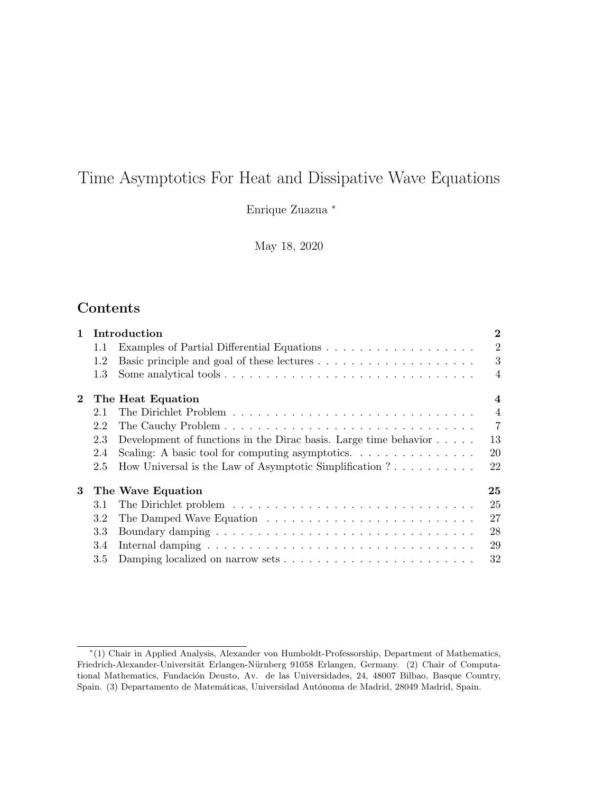# Time Asymptotics For Heat and Dissipative Wave Equations

Enrique Zuazua <sup>∗</sup>

May 18, 2020

## Contents

| $\mathbf{1}$ |         | Introduction                                                                   | $\bf{2}$                |
|--------------|---------|--------------------------------------------------------------------------------|-------------------------|
|              | 1.1     |                                                                                | 2                       |
|              | 1.2     |                                                                                | 3                       |
|              | 1.3     |                                                                                | $\overline{4}$          |
| $\bf{2}$     |         | The Heat Equation                                                              | $\overline{\mathbf{4}}$ |
|              | 2.1     |                                                                                | $\overline{4}$          |
|              | 2.2     |                                                                                | $\overline{7}$          |
|              | 2.3     | Development of functions in the Dirac basis. Large time behavior $\dots$ .     | 13                      |
|              | 2.4     | Scaling: A basic tool for computing asymptotics. $\dots \dots \dots \dots$     | 20                      |
|              | 2.5     | How Universal is the Law of Asymptotic Simplification $? \ldots \ldots \ldots$ | 22                      |
| 3            |         | The Wave Equation                                                              | 25                      |
|              | 3.1     |                                                                                | 25                      |
|              | $3.2\,$ |                                                                                | 27                      |
|              | $3.3\,$ |                                                                                | 28                      |
|              | 3.4     |                                                                                | 29                      |
|              | $3.5\,$ |                                                                                | 32                      |

<sup>∗</sup> (1) Chair in Applied Analysis, Alexander von Humboldt-Professorship, Department of Mathematics, Friedrich-Alexander-Universität Erlangen-Nürnberg 91058 Erlangen, Germany. (2) Chair of Computational Mathematics, Fundación Deusto, Av. de las Universidades, 24, 48007 Bilbao, Basque Country, Spain. (3) Departamento de Matemáticas, Universidad Autónoma de Madrid, 28049 Madrid, Spain.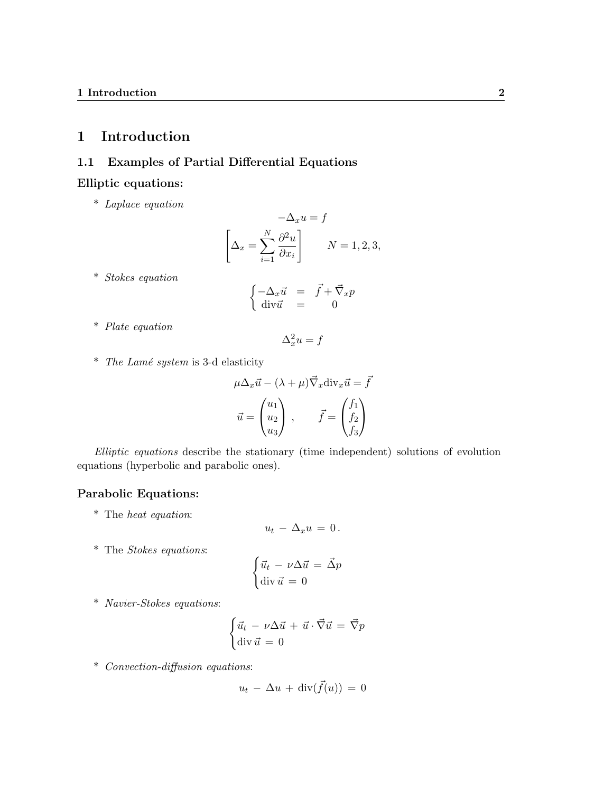## 1 Introduction

## 1.1 Examples of Partial Differential Equations

### Elliptic equations:

\* Laplace equation

$$
-\Delta_x u = f
$$

$$
\left[\Delta_x = \sum_{i=1}^N \frac{\partial^2 u}{\partial x_i}\right] \qquad N = 1, 2, 3,
$$

\* Stokes equation

$$
\begin{cases}\n-\Delta_x \vec{u} &= \vec{f} + \vec{\nabla}_x p \\
\text{div}\,\vec{u} &= 0\n\end{cases}
$$

\* Plate equation

$$
\Delta_x^2 u = f
$$

 $*$  The Lamé system is 3-d elasticity

$$
\mu \Delta_x \vec{u} - (\lambda + \mu) \vec{\nabla}_x \operatorname{div}_x \vec{u} = \vec{f}
$$

$$
\vec{u} = \begin{pmatrix} u_1 \\ u_2 \\ u_3 \end{pmatrix}, \qquad \vec{f} = \begin{pmatrix} f_1 \\ f_2 \\ f_3 \end{pmatrix}
$$

Elliptic equations describe the stationary (time independent) solutions of evolution equations (hyperbolic and parabolic ones).

## Parabolic Equations:

\* The heat equation:

$$
u_t - \Delta_x u = 0.
$$

\* The Stokes equations:

$$
\begin{cases} \vec{u}_t - \nu \Delta \vec{u} = \vec{\Delta} p \\ \text{div } \vec{u} = 0 \end{cases}
$$

\* Navier-Stokes equations:

$$
\begin{cases} \vec{u}_t - \nu \Delta \vec{u} + \vec{u} \cdot \vec{\nabla} \vec{u} = \vec{\nabla} p \\ \text{div } \vec{u} = 0 \end{cases}
$$

\* Convection-diffusion equations:

$$
u_t - \Delta u + \operatorname{div}(\vec{f}(u)) = 0
$$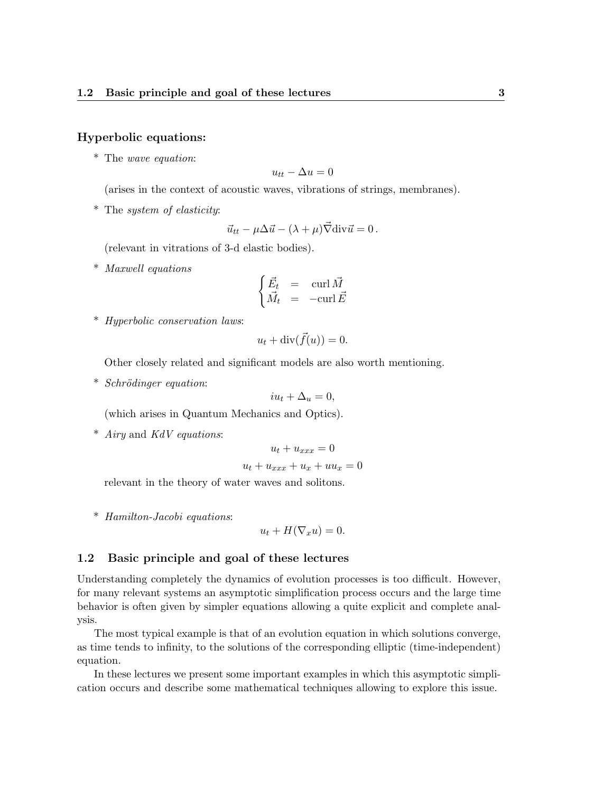#### Hyperbolic equations:

\* The wave equation:

$$
u_{tt} - \Delta u = 0
$$

(arises in the context of acoustic waves, vibrations of strings, membranes).

\* The system of elasticity:

$$
\vec{u}_{tt} - \mu \Delta \vec{u} - (\lambda + \mu) \vec{\nabla} \text{div} \vec{u} = 0.
$$

(relevant in vitrations of 3-d elastic bodies).

\* Maxwell equations

$$
\begin{cases} \vec{E}_t & = \operatorname{curl} \vec{M} \\ \vec{M}_t & = \operatorname{-curl} \vec{E} \end{cases}
$$

\* Hyperbolic conservation laws:

$$
u_t + \operatorname{div}(\vec{f}(u)) = 0.
$$

Other closely related and significant models are also worth mentioning.

 $*$  Schrödinger equation:

$$
iu_t + \Delta_u = 0,
$$

(which arises in Quantum Mechanics and Optics).

\* Airy and KdV equations:

$$
u_t + u_{xxx} = 0
$$

$$
u_t + u_{xxx} + u_x + uu_x = 0
$$

relevant in the theory of water waves and solitons.

\* Hamilton-Jacobi equations:

 $u_t + H(\nabla_x u) = 0.$ 

#### 1.2 Basic principle and goal of these lectures

Understanding completely the dynamics of evolution processes is too difficult. However, for many relevant systems an asymptotic simplification process occurs and the large time behavior is often given by simpler equations allowing a quite explicit and complete analysis.

The most typical example is that of an evolution equation in which solutions converge, as time tends to infinity, to the solutions of the corresponding elliptic (time-independent) equation.

In these lectures we present some important examples in which this asymptotic simplication occurs and describe some mathematical techniques allowing to explore this issue.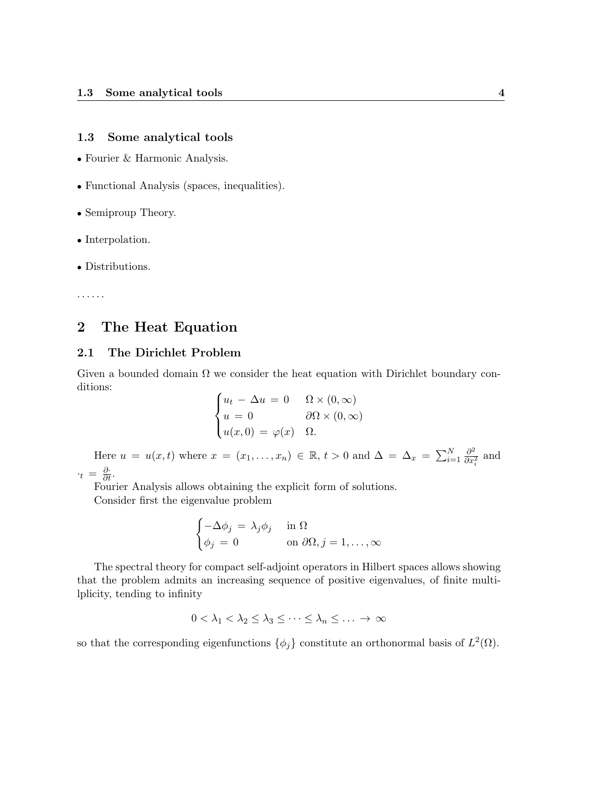#### 1.3 Some analytical tools

- Fourier & Harmonic Analysis.
- Functional Analysis (spaces, inequalities).
- Semiproup Theory.
- Interpolation.
- Distributions.

. . . . . .

## 2 The Heat Equation

### 2.1 The Dirichlet Problem

Given a bounded domain  $\Omega$  we consider the heat equation with Dirichlet boundary conditions:

$$
\begin{cases} u_t - \Delta u = 0 & \Omega \times (0, \infty) \\ u = 0 & \partial \Omega \times (0, \infty) \\ u(x, 0) = \varphi(x) & \Omega. \end{cases}
$$

Here  $u = u(x,t)$  where  $x = (x_1, \ldots, x_n) \in \mathbb{R}, t > 0$  and  $\Delta = \Delta_x = \sum_{i=1}^N \frac{\partial^2}{\partial x^i}$  $\frac{\partial^2}{\partial x_i^2}$  and  $\cdot_t = \frac{\partial}{\partial t}.$ 

Fourier Analysis allows obtaining the explicit form of solutions.

Consider first the eigenvalue problem

$$
\begin{cases}\n-\Delta \phi_j = \lambda_j \phi_j & \text{in } \Omega \\
\phi_j = 0 & \text{on } \partial \Omega, j = 1, \dots, \infty\n\end{cases}
$$

The spectral theory for compact self-adjoint operators in Hilbert spaces allows showing that the problem admits an increasing sequence of positive eigenvalues, of finite multilplicity, tending to infinity

$$
0 < \lambda_1 < \lambda_2 \leq \lambda_3 \leq \cdots \leq \lambda_n \leq \ldots \to \infty
$$

so that the corresponding eigenfunctions  $\{\phi_j\}$  constitute an orthonormal basis of  $L^2(\Omega)$ .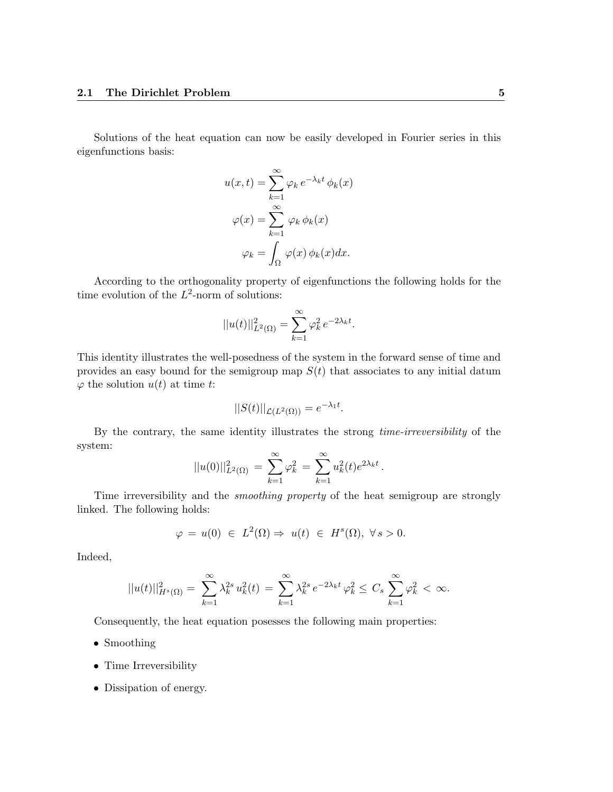Solutions of the heat equation can now be easily developed in Fourier series in this eigenfunctions basis:

$$
u(x,t) = \sum_{k=1}^{\infty} \varphi_k e^{-\lambda_k t} \phi_k(x)
$$

$$
\varphi(x) = \sum_{k=1}^{\infty} \varphi_k \phi_k(x)
$$

$$
\varphi_k = \int_{\Omega} \varphi(x) \phi_k(x) dx.
$$

According to the orthogonality property of eigenfunctions the following holds for the time evolution of the  $L^2$ -norm of solutions:

$$
||u(t)||_{L^{2}(\Omega)}^{2} = \sum_{k=1}^{\infty} \varphi_{k}^{2} e^{-2\lambda_{k}t}.
$$

This identity illustrates the well-posedness of the system in the forward sense of time and provides an easy bound for the semigroup map  $S(t)$  that associates to any initial datum  $\varphi$  the solution  $u(t)$  at time t:

$$
||S(t)||_{\mathcal{L}(L^2(\Omega))} = e^{-\lambda_1 t}.
$$

By the contrary, the same identity illustrates the strong time-irreversibility of the system:

$$
||u(0)||_{L^{2}(\Omega)}^{2} = \sum_{k=1}^{\infty} \varphi_{k}^{2} = \sum_{k=1}^{\infty} u_{k}^{2}(t)e^{2\lambda_{k}t}.
$$

Time irreversibility and the smoothing property of the heat semigroup are strongly linked. The following holds:

$$
\varphi = u(0) \in L^2(\Omega) \Rightarrow u(t) \in H^s(\Omega), \ \forall s > 0.
$$

Indeed,

$$
||u(t)||_{H^s(\Omega)}^2 = \sum_{k=1}^{\infty} \lambda_k^{2s} u_k^2(t) = \sum_{k=1}^{\infty} \lambda_k^{2s} e^{-2\lambda_k t} \varphi_k^2 \leq C_s \sum_{k=1}^{\infty} \varphi_k^2 < \infty.
$$

Consequently, the heat equation posesses the following main properties:

- Smoothing
- Time Irreversibility
- Dissipation of energy.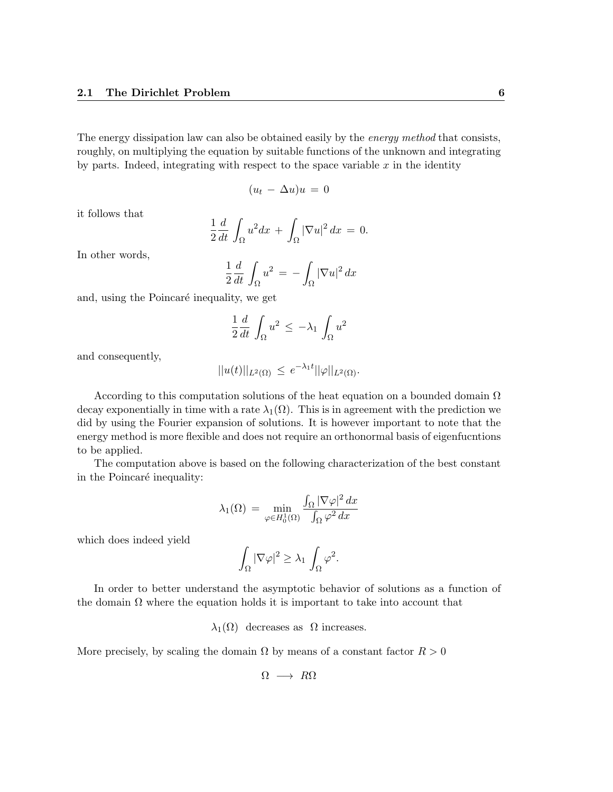The energy dissipation law can also be obtained easily by the *energy method* that consists, roughly, on multiplying the equation by suitable functions of the unknown and integrating by parts. Indeed, integrating with respect to the space variable  $x$  in the identity

$$
(u_t - \Delta u)u = 0
$$

it follows that

$$
\frac{1}{2}\frac{d}{dt}\int_{\Omega}u^2dx + \int_{\Omega}|\nabla u|^2 dx = 0.
$$

In other words,

$$
\frac{1}{2}\frac{d}{dt}\int_{\Omega}u^2 = -\int_{\Omega}|\nabla u|^2 dx
$$

and, using the Poincaré inequality, we get

$$
\frac{1}{2}\frac{d}{dt}\int_{\Omega}u^2 \leq -\lambda_1\int_{\Omega}u^2
$$

and consequently,

$$
||u(t)||_{L^2(\Omega)} \leq e^{-\lambda_1 t} ||\varphi||_{L^2(\Omega)}.
$$

According to this computation solutions of the heat equation on a bounded domain  $\Omega$ decay exponentially in time with a rate  $\lambda_1(\Omega)$ . This is in agreement with the prediction we did by using the Fourier expansion of solutions. It is however important to note that the energy method is more flexible and does not require an orthonormal basis of eigenfucntions to be applied.

The computation above is based on the following characterization of the best constant in the Poincaré inequality:

$$
\lambda_1(\Omega) = \min_{\varphi \in H_0^1(\Omega)} \frac{\int_{\Omega} |\nabla \varphi|^2 dx}{\int_{\Omega} \varphi^2 dx}
$$

which does indeed yield

$$
\int_{\Omega} |\nabla \varphi|^2 \geq \lambda_1 \int_{\Omega} \varphi^2.
$$

In order to better understand the asymptotic behavior of solutions as a function of the domain  $\Omega$  where the equation holds it is important to take into account that

 $\lambda_1(\Omega)$  decreases as  $\Omega$  increases.

More precisely, by scaling the domain  $\Omega$  by means of a constant factor  $R > 0$ 

$$
\Omega \longrightarrow R\Omega
$$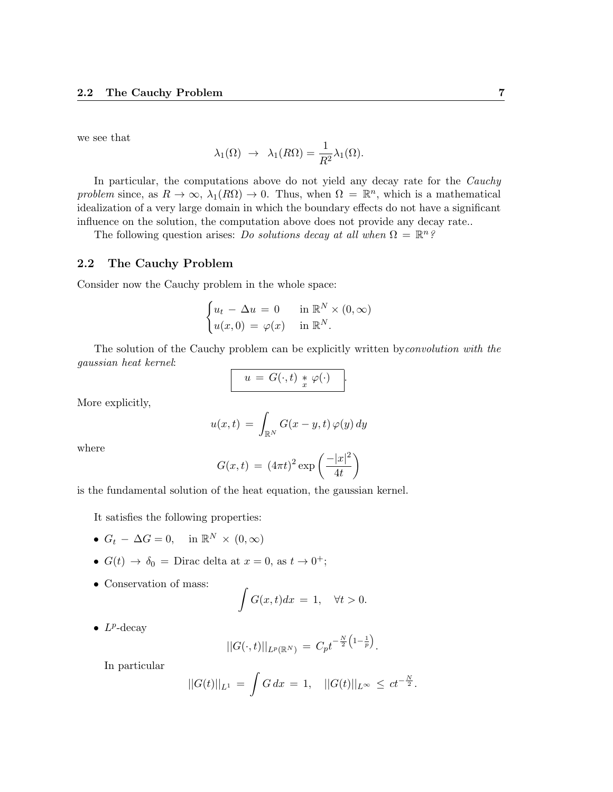we see that

$$
\lambda_1(\Omega) \rightarrow \lambda_1(R\Omega) = \frac{1}{R^2} \lambda_1(\Omega).
$$

In particular, the computations above do not yield any decay rate for the Cauchy problem since, as  $R \to \infty$ ,  $\lambda_1(R\Omega) \to 0$ . Thus, when  $\Omega = \mathbb{R}^n$ , which is a mathematical idealization of a very large domain in which the boundary effects do not have a significant influence on the solution, the computation above does not provide any decay rate..

The following question arises: Do solutions decay at all when  $\Omega = \mathbb{R}^n$ ?

#### 2.2 The Cauchy Problem

Consider now the Cauchy problem in the whole space:

$$
\begin{cases} u_t - \Delta u = 0 & \text{in } \mathbb{R}^N \times (0, \infty) \\ u(x, 0) = \varphi(x) & \text{in } \mathbb{R}^N. \end{cases}
$$

The solution of the Cauchy problem can be explicitly written byconvolution with the gaussian heat kernel:

$$
u = G(\cdot,t) * \varphi(\cdot) .
$$

More explicitly,

$$
u(x,t) = \int_{\mathbb{R}^N} G(x-y,t) \,\varphi(y) \,dy
$$

where

$$
G(x,t) = (4\pi t)^2 \exp\left(\frac{-|x|^2}{4t}\right)
$$

is the fundamental solution of the heat equation, the gaussian kernel.

It satisfies the following properties:

- $G_t \Delta G = 0$ , in  $\mathbb{R}^N \times (0, \infty)$
- $G(t) \rightarrow \delta_0 = \text{Dirac delta at } x = 0, \text{ as } t \rightarrow 0^+;$
- Conservation of mass:

$$
\int G(x,t)dx = 1, \quad \forall t > 0.
$$

•  $L^p$ -decay

$$
||G(\cdot,t)||_{L^p(\mathbb{R}^N)} = C_p t^{-\frac{N}{2}\left(1-\frac{1}{p}\right)}.
$$

In particular

$$
||G(t)||_{L^{1}} = \int G dx = 1, \quad ||G(t)||_{L^{\infty}} \leq ct^{-\frac{N}{2}}.
$$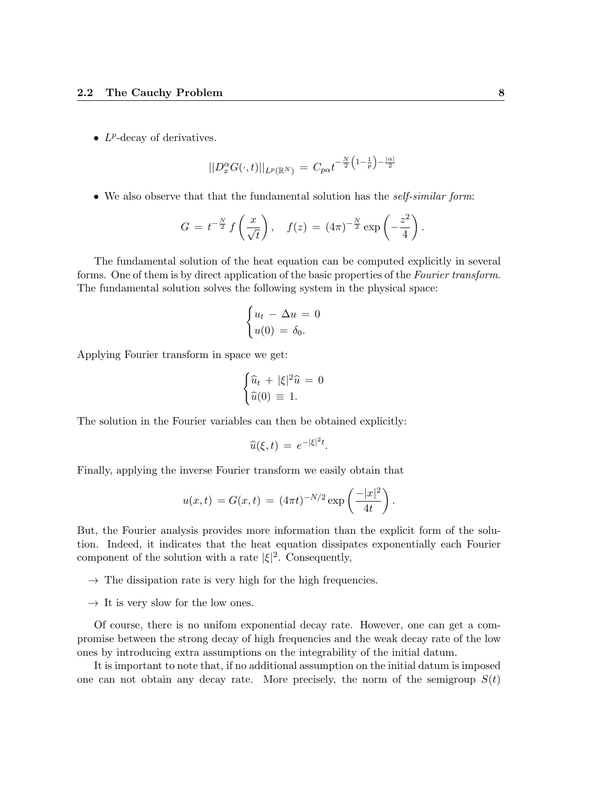•  $L^p$ -decay of derivatives.

$$
||D_x^{\alpha}G(\cdot,t)||_{L^p(\mathbb{R}^N)} = C_{p\alpha}t^{-\frac{N}{2}(1-\frac{1}{p})-\frac{|\alpha|}{2}}
$$

• We also observe that that the fundamental solution has the *self-similar form*:

$$
G = t^{-\frac{N}{2}} f\left(\frac{x}{\sqrt{t}}\right), \quad f(z) = (4\pi)^{-\frac{N}{2}} \exp\left(-\frac{z^2}{4}\right).
$$

The fundamental solution of the heat equation can be computed explicitly in several forms. One of them is by direct application of the basic properties of the Fourier transform. The fundamental solution solves the following system in the physical space:

$$
\begin{cases} u_t - \Delta u = 0 \\ u(0) = \delta_0. \end{cases}
$$

Applying Fourier transform in space we get:

$$
\begin{cases} \widehat{u}_t + |\xi|^2 \widehat{u} = 0\\ \widehat{u}(0) \equiv 1. \end{cases}
$$

The solution in the Fourier variables can then be obtained explicitly:

$$
\widehat{u}(\xi,t) = e^{-|\xi|^2 t}.
$$

Finally, applying the inverse Fourier transform we easily obtain that

$$
u(x,t) = G(x,t) = (4\pi t)^{-N/2} \exp\left(\frac{-|x|^2}{4t}\right).
$$

But, the Fourier analysis provides more information than the explicit form of the solution. Indeed, it indicates that the heat equation dissipates exponentially each Fourier component of the solution with a rate  $|\xi|^2$ . Consequently,

- $\rightarrow$  The dissipation rate is very high for the high frequencies.
- $\rightarrow$  It is very slow for the low ones.

Of course, there is no unifom exponential decay rate. However, one can get a compromise between the strong decay of high frequencies and the weak decay rate of the low ones by introducing extra assumptions on the integrability of the initial datum.

It is important to note that, if no additional assumption on the initial datum is imposed one can not obtain any decay rate. More precisely, the norm of the semigroup  $S(t)$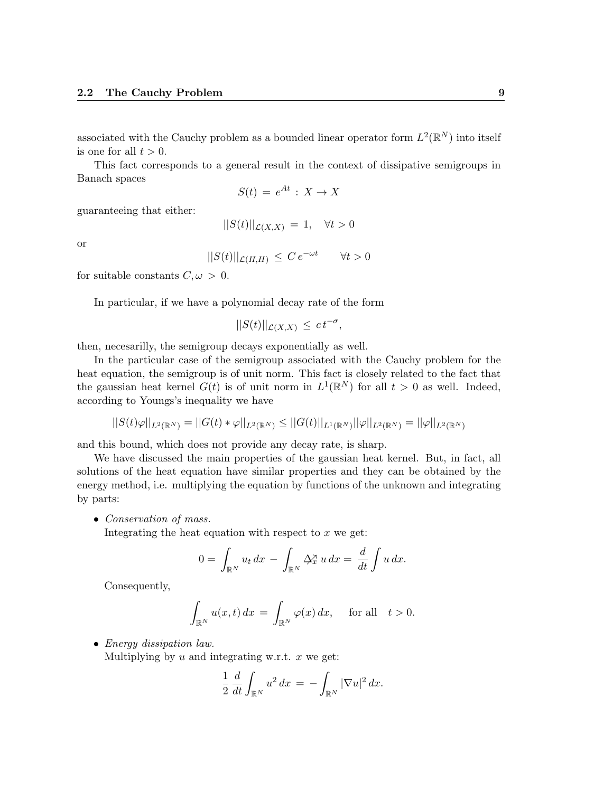associated with the Cauchy problem as a bounded linear operator form  $L^2(\mathbb{R}^N)$  into itself is one for all  $t > 0$ .

This fact corresponds to a general result in the context of dissipative semigroups in Banach spaces

$$
S(t) = e^{At} : X \to X
$$

guaranteeing that either:

$$
||S(t)||_{\mathcal{L}(X,X)} = 1, \quad \forall t > 0
$$

or

$$
||S(t)||_{\mathcal{L}(H,H)} \leq C e^{-\omega t} \quad \forall t > 0
$$

for suitable constants  $C, \omega > 0$ .

In particular, if we have a polynomial decay rate of the form

$$
||S(t)||_{\mathcal{L}(X,X)} \leq ct^{-\sigma},
$$

then, necesarilly, the semigroup decays exponentially as well.

In the particular case of the semigroup associated with the Cauchy problem for the heat equation, the semigroup is of unit norm. This fact is closely related to the fact that the gaussian heat kernel  $G(t)$  is of unit norm in  $L^1(\mathbb{R}^N)$  for all  $t > 0$  as well. Indeed, according to Youngs's inequality we have

$$
||S(t)\varphi||_{L^2(\mathbb{R}^N)}=||G(t)*\varphi||_{L^2(\mathbb{R}^N)}\leq ||G(t)||_{L^1(\mathbb{R}^N)}||\varphi||_{L^2(\mathbb{R}^N)}=||\varphi||_{L^2(\mathbb{R}^N)}
$$

and this bound, which does not provide any decay rate, is sharp.

We have discussed the main properties of the gaussian heat kernel. But, in fact, all solutions of the heat equation have similar properties and they can be obtained by the energy method, i.e. multiplying the equation by functions of the unknown and integrating by parts:

• Conservation of mass.

Integrating the heat equation with respect to  $x$  we get:

$$
0 = \int_{\mathbb{R}^N} u_t dx - \int_{\mathbb{R}^N} \Delta_x^{\mathcal{X}} u dx = \frac{d}{dt} \int u dx.
$$

Consequently,

$$
\int_{\mathbb{R}^N} u(x,t) dx = \int_{\mathbb{R}^N} \varphi(x) dx, \quad \text{for all} \quad t > 0.
$$

• Energy dissipation law. Multiplying by  $u$  and integrating w.r.t.  $x$  we get:

$$
\frac{1}{2} \frac{d}{dt} \int_{\mathbb{R}^N} u^2 dx = - \int_{\mathbb{R}^N} |\nabla u|^2 dx.
$$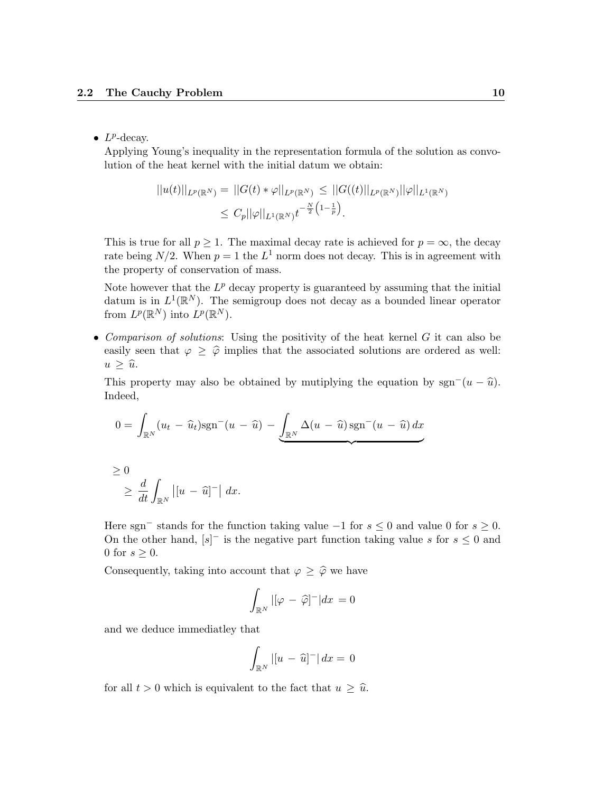### •  $L^p$ -decay.

Applying Young's inequality in the representation formula of the solution as convolution of the heat kernel with the initial datum we obtain:

$$
||u(t)||_{L^p(\mathbb{R}^N)} = ||G(t) * \varphi||_{L^p(\mathbb{R}^N)} \leq ||G((t)||_{L^p(\mathbb{R}^N)} ||\varphi||_{L^1(\mathbb{R}^N)}
$$
  

$$
\leq C_p ||\varphi||_{L^1(\mathbb{R}^N)} t^{-\frac{N}{2} (1 - \frac{1}{p})}.
$$

This is true for all  $p > 1$ . The maximal decay rate is achieved for  $p = \infty$ , the decay rate being  $N/2$ . When  $p = 1$  the  $L^1$  norm does not decay. This is in agreement with the property of conservation of mass.

Note however that the  $L^p$  decay property is guaranteed by assuming that the initial datum is in  $L^1(\mathbb{R}^N)$ . The semigroup does not decay as a bounded linear operator from  $L^p(\mathbb{R}^N)$  into  $L^p(\mathbb{R}^N)$ .

• Comparison of solutions: Using the positivity of the heat kernel  $G$  it can also be easily seen that  $\varphi \geq \hat{\varphi}$  implies that the associated solutions are ordered as well:  $u \geq \hat{u}$ .

This property may also be obtained by mutiplying the equation by sgn<sup>-</sup> $(u - \hat{u})$ . Indeed,

$$
0 = \int_{\mathbb{R}^N} (u_t - \widehat{u}_t) \operatorname{sgn}^{-}(u - \widehat{u}) - \underbrace{\int_{\mathbb{R}^N} \Delta(u - \widehat{u}) \operatorname{sgn}^{-}(u - \widehat{u}) dx}_{\text{max}}
$$

$$
\geq 0
$$
  

$$
\geq \frac{d}{dt} \int_{\mathbb{R}^N} |[u - \widehat{u}]^-| dx.
$$

Here sgn<sup>-</sup> stands for the function taking value  $-1$  for  $s \leq 0$  and value 0 for  $s \geq 0$ . On the other hand,  $[s]$ <sup>-</sup> is the negative part function taking value s for  $s \leq 0$  and 0 for  $s \geq 0$ .

Consequently, taking into account that  $\varphi \geq \widehat{\varphi}$  we have

$$
\int_{\mathbb{R}^N} |[\varphi - \widehat{\varphi}]^-| dx = 0
$$

and we deduce immediatley that

$$
\int_{\mathbb{R}^N} |[u - \widehat{u}]^-| dx = 0
$$

for all  $t > 0$  which is equivalent to the fact that  $u \geq \hat{u}$ .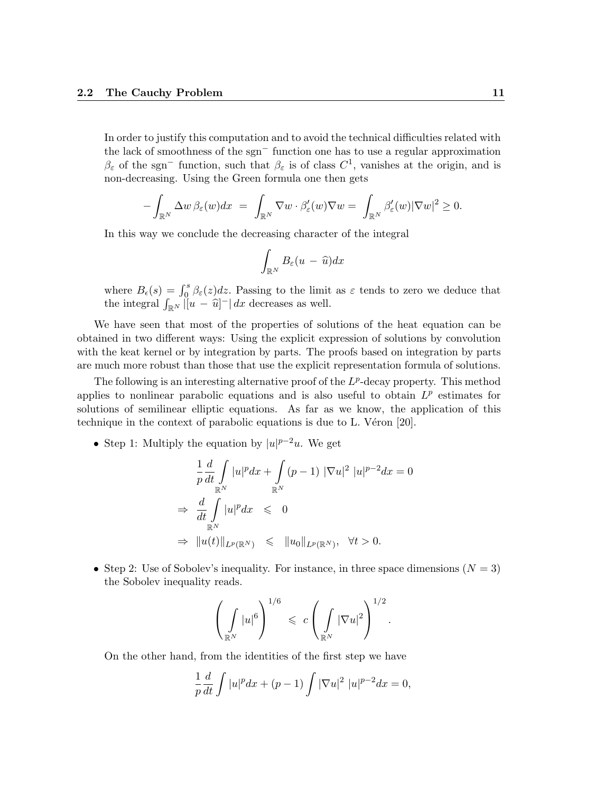In order to justify this computation and to avoid the technical difficulties related with the lack of smoothness of the sgn<sup>−</sup> function one has to use a regular approximation  $\beta_{\varepsilon}$  of the sgn<sup>-</sup> function, such that  $\beta_{\varepsilon}$  is of class  $C^1$ , vanishes at the origin, and is non-decreasing. Using the Green formula one then gets

$$
-\int_{\mathbb{R}^N} \Delta w \,\beta_{\varepsilon}(w) dx = \int_{\mathbb{R}^N} \nabla w \cdot \beta'_{\varepsilon}(w) \nabla w = \int_{\mathbb{R}^N} \beta'_{\varepsilon}(w) |\nabla w|^2 \ge 0.
$$

In this way we conclude the decreasing character of the integral

$$
\int_{\mathbb{R}^N} B_{\varepsilon}(u - \widehat{u}) dx
$$

where  $B_{\epsilon}(s) = \int_0^s \beta_{\epsilon}(z) dz$ . Passing to the limit as  $\varepsilon$  tends to zero we deduce that the integral  $\int_{\mathbb{R}^N} |u - \hat{u}|^- | dx$  decreases as well.

We have seen that most of the properties of solutions of the heat equation can be obtained in two different ways: Using the explicit expression of solutions by convolution with the keat kernel or by integration by parts. The proofs based on integration by parts are much more robust than those that use the explicit representation formula of solutions.

The following is an interesting alternative proof of the  $L^p$ -decay property. This method applies to nonlinear parabolic equations and is also useful to obtain  $L^p$  estimates for solutions of semilinear elliptic equations. As far as we know, the application of this technique in the context of parabolic equations is due to  $L$ . Véron [20].

• Step 1: Multiply the equation by  $|u|^{p-2}u$ . We get

$$
\frac{1}{p}\frac{d}{dt}\int_{\mathbb{R}^N}|u|^p dx + \int_{\mathbb{R}^N}(p-1) |\nabla u|^2 |u|^{p-2} dx = 0
$$
\n
$$
\Rightarrow \frac{d}{dt}\int_{\mathbb{R}^N}|u|^p dx \leq 0
$$
\n
$$
\Rightarrow \|u(t)\|_{L^p(\mathbb{R}^N)} \leq \|u_0\|_{L^p(\mathbb{R}^N)}, \quad \forall t > 0.
$$

• Step 2: Use of Sobolev's inequality. For instance, in three space dimensions  $(N = 3)$ the Sobolev inequality reads.

$$
\left(\int\limits_{\mathbb{R}^N}|u|^6\right)^{1/6} \leqslant c\left(\int\limits_{\mathbb{R}^N}|\nabla u|^2\right)^{1/2}.
$$

On the other hand, from the identities of the first step we have

$$
\frac{1}{p}\frac{d}{dt}\int |u|^p dx + (p-1)\int |\nabla u|^2 |u|^{p-2} dx = 0,
$$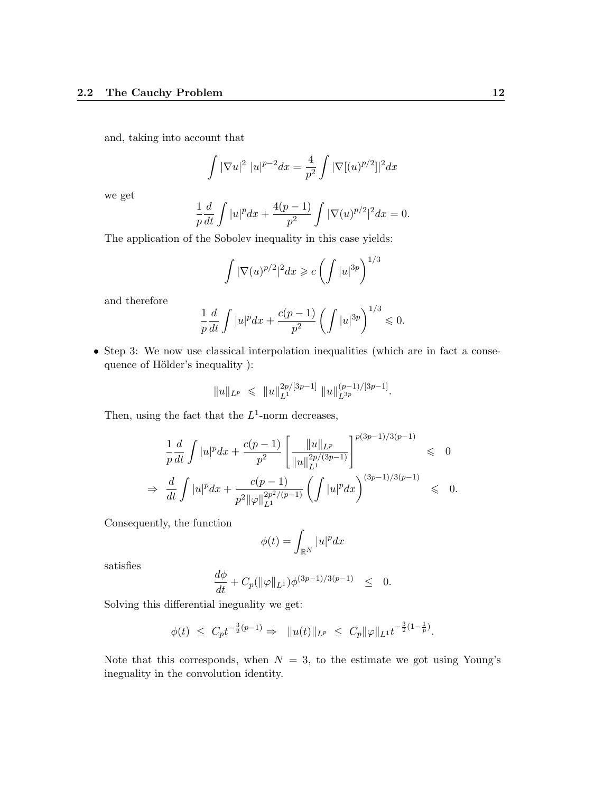and, taking into account that

$$
\int |\nabla u|^2 |u|^{p-2} dx = \frac{4}{p^2} \int |\nabla [(u)^{p/2}]|^2 dx
$$

we get

$$
\frac{1}{p}\frac{d}{dt}\int |u|^p dx + \frac{4(p-1)}{p^2}\int |\nabla(u)^{p/2}|^2 dx = 0.
$$

The application of the Sobolev inequality in this case yields:

$$
\int |\nabla(u)^{p/2}|^2 dx \geqslant c \left( \int |u|^{3p} \right)^{1/3}
$$

and therefore

$$
\frac{1}{p}\frac{d}{dt}\int |u|^p dx + \frac{c(p-1)}{p^2} \left(\int |u|^{3p}\right)^{1/3} \leq 0.
$$

• Step 3: We now use classical interpolation inequalities (which are in fact a consequence of Hölder's inequality ):

$$
||u||_{L^p}\ \leqslant\ ||u||_{L^1}^{2p/[3p-1]}\ ||u||_{L^{3p}}^{(p-1)/[3p-1]}.
$$

Then, using the fact that the  $L^1$ -norm decreases,

$$
\frac{1}{p}\frac{d}{dt}\int |u|^p dx + \frac{c(p-1)}{p^2} \left[ \frac{\|u\|_{L^p}}{\|u\|_{L^1}^{2p/(3p-1)}} \right]^{p(3p-1)/3(p-1)} \leq 0
$$
\n
$$
\Rightarrow \frac{d}{dt}\int |u|^p dx + \frac{c(p-1)}{p^2 \|\varphi\|_{L^1}^{2p^2/(p-1)}} \left( \int |u|^p dx \right)^{(3p-1)/3(p-1)} \leq 0.
$$

Consequently, the function

$$
\phi(t) = \int_{\mathbb{R}^N} |u|^p dx
$$

satisfies

$$
\frac{d\phi}{dt} + C_p(\|\varphi\|_{L^1})\phi^{(3p-1)/3(p-1)} \leq 0.
$$

Solving this differential ineguality we get:

$$
\phi(t) \ \leq \ C_p t^{-\frac{3}{2}(p-1)} \Rightarrow \ \ \|u(t)\|_{L^p} \ \leq \ C_p \|\varphi\|_{L^1} t^{-\frac{3}{2}(1-\frac{1}{p})}.
$$

Note that this corresponds, when  $N = 3$ , to the estimate we got using Young's ineguality in the convolution identity.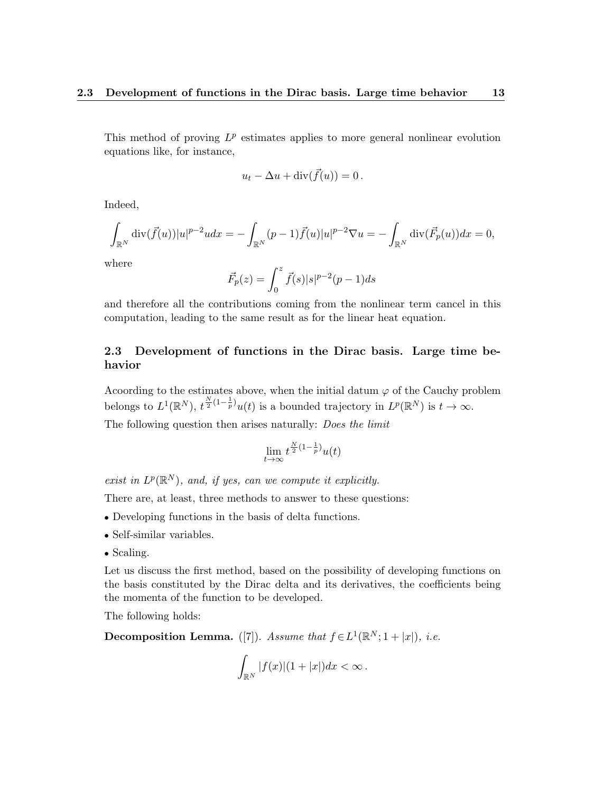This method of proving  $L^p$  estimates applies to more general nonlinear evolution equations like, for instance,

$$
u_t - \Delta u + \operatorname{div}(\vec{f}(u)) = 0.
$$

Indeed,

$$
\int_{\mathbb{R}^N} \text{div}(\vec{f}(u)) |u|^{p-2} u dx = -\int_{\mathbb{R}^N} (p-1) \vec{f}(u) |u|^{p-2} \nabla u = -\int_{\mathbb{R}^N} \text{div}(\vec{F}_p(u)) dx = 0,
$$

where

$$
\vec{F}_p(z) = \int_0^z \vec{f}(s)|s|^{p-2}(p-1)ds
$$

and therefore all the contributions coming from the nonlinear term cancel in this computation, leading to the same result as for the linear heat equation.

### 2.3 Development of functions in the Dirac basis. Large time behavior

Acoording to the estimates above, when the initial datum  $\varphi$  of the Cauchy problem belongs to  $L^1(\mathbb{R}^N)$ ,  $t^{\frac{N}{2}(1-\frac{1}{p})}u(t)$  is a bounded trajectory in  $L^p(\mathbb{R}^N)$  is  $t \to \infty$ .

The following question then arises naturally: *Does the limit* 

$$
\lim_{t \to \infty} t^{\frac{N}{2}(1-\frac{1}{p})} u(t)
$$

exist in  $L^p(\mathbb{R}^N)$ , and, if yes, can we compute it explicitly.

There are, at least, three methods to answer to these questions:

- Developing functions in the basis of delta functions.
- Self-similar variables.
- Scaling.

Let us discuss the first method, based on the possibility of developing functions on the basis constituted by the Dirac delta and its derivatives, the coefficients being the momenta of the function to be developed.

The following holds:

Decomposition Lemma. ([7]). Assume that  $f \in L^1(\mathbb{R}^N; 1 + |x|)$ , i.e.

$$
\int_{\mathbb{R}^N} |f(x)|(1+|x|)dx < \infty.
$$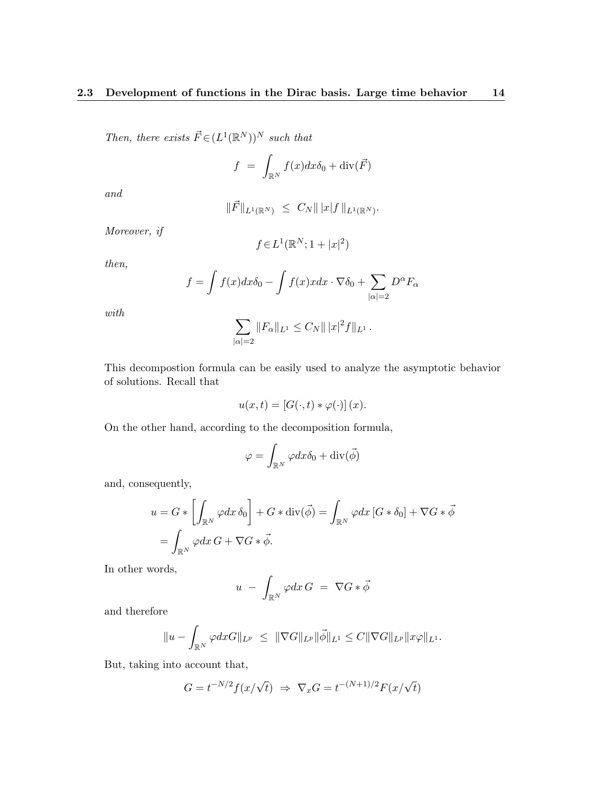Then, there exists  $\vec{F} \in (L^1(\mathbb{R}^N))^N$  such that

$$
f = \int_{\mathbb{R}^N} f(x) dx \delta_0 + \text{div}(\vec{F})
$$

and

$$
\|\vec{F}\|_{L^1(\mathbb{R}^N)} \ \leq \ C_N \||x|f\|_{L^1(\mathbb{R}^N)}.
$$

Moreover, if

$$
f\!\in\!L^1(\mathbb{R}^N;1+|x|^2)
$$

then,

$$
f = \int f(x)dx\delta_0 - \int f(x)xdx \cdot \nabla \delta_0 + \sum_{|\alpha|=2} D^{\alpha}F_{\alpha}
$$

with

$$
\sum_{|\alpha|=2} ||F_{\alpha}||_{L^{1}} \leq C_{N} ||x|^{2} f||_{L^{1}}.
$$

This decompostion formula can be easily used to analyze the asymptotic behavior of solutions. Recall that

$$
u(x,t) = [G(\cdot,t) * \varphi(\cdot)](x).
$$

On the other hand, according to the decomposition formula,

$$
\varphi = \int_{\mathbb{R}^N} \varphi dx \delta_0 + \text{div}(\vec{\phi})
$$

and, consequently,

$$
u = G * \left[ \int_{\mathbb{R}^N} \varphi dx \, \delta_0 \right] + G * \text{div}(\vec{\phi}) = \int_{\mathbb{R}^N} \varphi dx \, [G * \delta_0] + \nabla G * \vec{\phi}
$$

$$
= \int_{\mathbb{R}^N} \varphi dx \, G + \nabla G * \vec{\phi}.
$$

In other words,

$$
u - \int_{\mathbb{R}^N} \varphi dx G = \nabla G * \vec{\phi}
$$

and therefore

$$
||u - \int_{\mathbb{R}^N} \varphi dx G||_{L^p} \le ||\nabla G||_{L^p} ||\vec{\phi}||_{L^1} \le C ||\nabla G||_{L^p} ||x\varphi||_{L^1}.
$$

But, taking into account that,

$$
G = t^{-N/2} f(x/\sqrt{t}) \Rightarrow \nabla_x G = t^{-(N+1)/2} F(x/\sqrt{t})
$$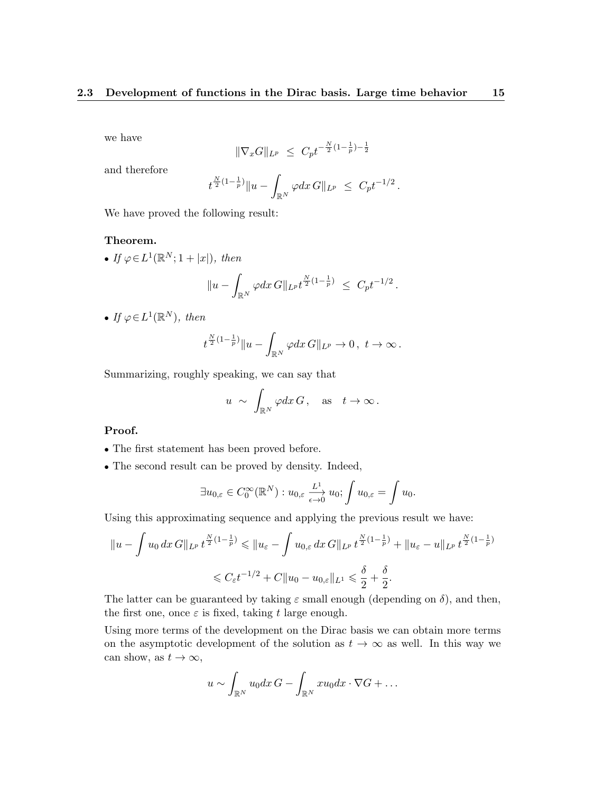we have

$$
\|\nabla_x G\|_{L^p} \ \leq \ C_p t^{-\frac{N}{2}(1-\frac{1}{p})-\frac{1}{2}}
$$

and therefore

$$
t^{\frac{N}{2}(1-\frac{1}{p})}||u-\int_{\mathbb{R}^N}\varphi dx G||_{L^p} \leq C_p t^{-1/2}.
$$

We have proved the following result:

#### Theorem.

• If  $\varphi \in L^1(\mathbb{R}^N; 1+|x|)$ , then

$$
||u - \int_{\mathbb{R}^N} \varphi dx \, G||_{L^p} t^{\frac{N}{2}(1-\frac{1}{p})} \leq C_p t^{-1/2}.
$$

• If  $\varphi \in L^1(\mathbb{R}^N)$ , then

$$
t^{\frac{N}{2}(1-\frac{1}{p})}\|u-\int_{\mathbb{R}^N}\varphi dx\,G\|_{L^p}\to 0\,,\,\,t\to\infty\,.
$$

Summarizing, roughly speaking, we can say that

$$
u \sim \int_{\mathbb{R}^N} \varphi dx G
$$
, as  $t \to \infty$ .

#### Proof.

- The first statement has been proved before.
- The second result can be proved by density. Indeed,

$$
\exists u_{0,\varepsilon} \in C_0^{\infty}(\mathbb{R}^N) : u_{0,\varepsilon} \xrightarrow[\varepsilon \to 0]{} u_0; \int u_{0,\varepsilon} = \int u_0.
$$

Using this approximating sequence and applying the previous result we have:

$$
||u - \int u_0 dx G||_{L^p} t^{\frac{N}{2}(1 - \frac{1}{p})} \le ||u_{\varepsilon} - \int u_{0,\varepsilon} dx G||_{L^p} t^{\frac{N}{2}(1 - \frac{1}{p})} + ||u_{\varepsilon} - u||_{L^p} t^{\frac{N}{2}(1 - \frac{1}{p})}
$$
  

$$
\le C_{\varepsilon} t^{-1/2} + C||u_0 - u_{0,\varepsilon}||_{L^1} \le \frac{\delta}{2} + \frac{\delta}{2}.
$$

The latter can be guaranteed by taking  $\varepsilon$  small enough (depending on  $\delta$ ), and then, the first one, once  $\varepsilon$  is fixed, taking t large enough.

Using more terms of the development on the Dirac basis we can obtain more terms on the asymptotic development of the solution as  $t \to \infty$  as well. In this way we can show, as  $t \to \infty$ ,

$$
u \sim \int_{\mathbb{R}^N} u_0 dx G - \int_{\mathbb{R}^N} x u_0 dx \cdot \nabla G + \dots
$$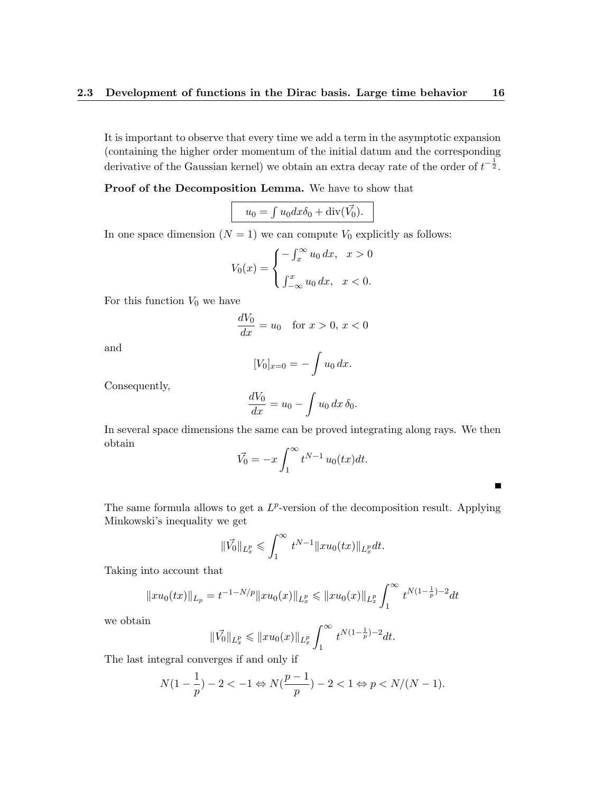It is important to observe that every time we add a term in the asymptotic expansion (containing the higher order momentum of the initial datum and the corresponding derivative of the Gaussian kernel) we obtain an extra decay rate of the order of  $t^{-\frac{1}{2}}$ .

Proof of the Decomposition Lemma. We have to show that

$$
u_0 = \int u_0 dx \delta_0 + \operatorname{div}(\vec{V_0}).
$$

In one space dimension  $(N = 1)$  we can compute  $V_0$  explicitly as follows:

$$
V_0(x) = \begin{cases} -\int_x^\infty u_0 dx, & x > 0 \\ \int_{-\infty}^x u_0 dx, & x < 0. \end{cases}
$$

For this function  $V_0$  we have

$$
\frac{dV_0}{dx} = u_0 \quad \text{for } x > 0, x < 0
$$

and

$$
[V_0]_{x=0} = -\int u_0 \, dx.
$$

Consequently,

$$
\frac{dV_0}{dx} = u_0 - \int u_0 dx \, \delta_0.
$$

In several space dimensions the same can be proved integrating along rays. We then obtain

$$
\vec{V_0} = -x \int_1^\infty t^{N-1} u_0(tx) dt.
$$

 $\blacksquare$ 

The same formula allows to get a  $L^p$ -version of the decomposition result. Applying Minkowski's inequality we get

$$
\|\vec{V_0}\|_{L_x^p} \leqslant \int_1^\infty t^{N-1} \|x u_0(tx)\|_{L_x^p} dt.
$$

Taking into account that

$$
||xu_0(tx)||_{L_p} = t^{-1-N/p} ||xu_0(x)||_{L_x^p} \le ||xu_0(x)||_{L_x^p} \int_1^\infty t^{N(1-\frac{1}{p})-2} dt
$$

we obtain

$$
\|\vec{V_0}\|_{L_x^p} \leqslant \|xu_0(x)\|_{L_x^p} \int_1^\infty t^{N(1-\frac{1}{p})-2} dt.
$$

The last integral converges if and only if

$$
N(1 - \frac{1}{p}) - 2 < -1 \Leftrightarrow N(\frac{p-1}{p}) - 2 < 1 \Leftrightarrow p < N/(N-1).
$$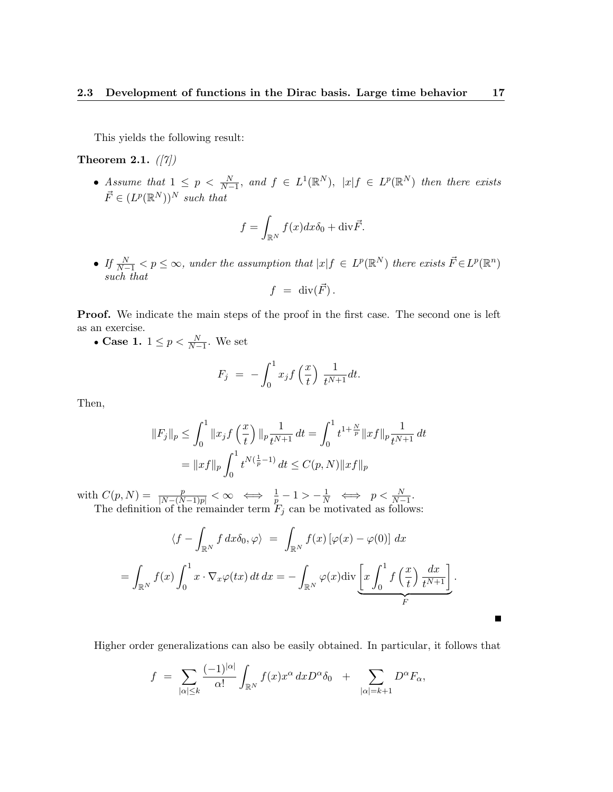This yields the following result:

Theorem 2.1.  $(|7|)$ 

• Assume that  $1 \leq p \leq \frac{N}{N-1}$ , and  $f \in L^{1}(\mathbb{R}^{N})$ ,  $|x| f \in L^{p}(\mathbb{R}^{N})$  then there exists  $\vec{F} \in (L^p(\mathbb{R}^N))^N$  such that

$$
f = \int_{\mathbb{R}^N} f(x) dx \delta_0 + \text{div}\vec{F}.
$$

• If  $\frac{N}{N-1} < p \leq \infty$ , under the assumption that  $|x| f \in L^p(\mathbb{R}^N)$  there exists  $\vec{F} \in L^p(\mathbb{R}^n)$ such that

$$
f = \operatorname{div}(\vec{F}) .
$$

Proof. We indicate the main steps of the proof in the first case. The second one is left as an exercise.

• Case 1.  $1 \leq p < \frac{N}{N-1}$ . We set

$$
F_j = -\int_0^1 x_j f\left(\frac{x}{t}\right) \frac{1}{t^{N+1}} dt.
$$

Then,

$$
||F_j||_p \le \int_0^1 ||x_j f\left(\frac{x}{t}\right)||_p \frac{1}{t^{N+1}} dt = \int_0^1 t^{1+\frac{N}{p}} ||x f||_p \frac{1}{t^{N+1}} dt
$$
  
=  $||x f||_p \int_0^1 t^{N(\frac{1}{p}-1)} dt \le C(p, N) ||x f||_p$ 

with  $C(p, N) = \frac{p}{|N-(N-1)p|} < \infty \iff \frac{1}{p} - 1 > -\frac{1}{N} \iff p < \frac{N}{N-1}$ . The definition of the remainder term  $F_j$  can be motivated as follows:

$$
\langle f - \int_{\mathbb{R}^N} f \, dx \delta_0, \varphi \rangle = \int_{\mathbb{R}^N} f(x) \left[ \varphi(x) - \varphi(0) \right] \, dx
$$
  
= 
$$
\int_{\mathbb{R}^N} f(x) \int_0^1 x \cdot \nabla_x \varphi(tx) \, dt \, dx = - \int_{\mathbb{R}^N} \varphi(x) \text{div} \underbrace{\left[ x \int_0^1 f \left( \frac{x}{t} \right) \frac{dx}{t^{N+1}} \right]}_{F}.
$$

Higher order generalizations can also be easily obtained. In particular, it follows that

 $\blacksquare$ 

$$
f = \sum_{|\alpha| \leq k} \frac{(-1)^{|\alpha|}}{\alpha!} \int_{\mathbb{R}^N} f(x) x^{\alpha} dx D^{\alpha} \delta_0 + \sum_{|\alpha|=k+1} D^{\alpha} F_{\alpha},
$$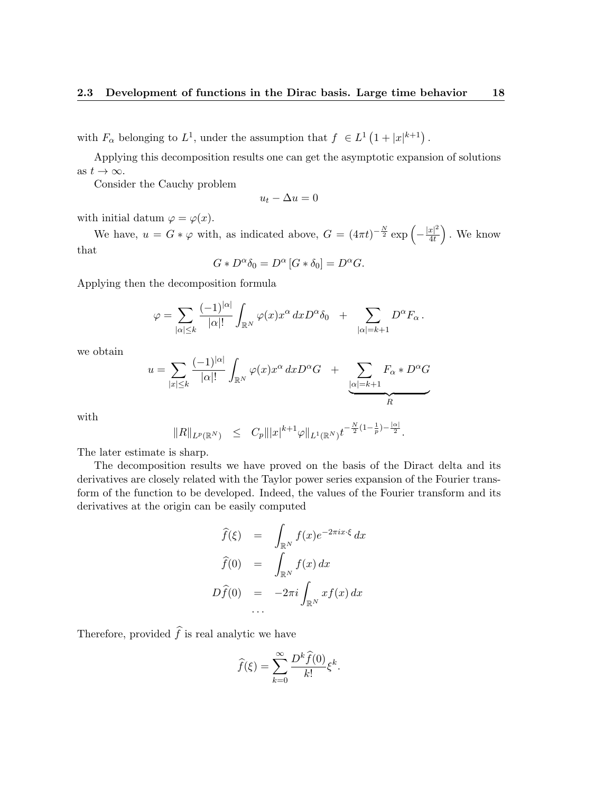with  $F_{\alpha}$  belonging to  $L^1$ , under the assumption that  $f \in L^1(1+|x|^{k+1})$ .

Applying this decomposition results one can get the asymptotic expansion of solutions as  $t \to \infty$ .

Consider the Cauchy problem

$$
u_t - \Delta u = 0
$$

with initial datum  $\varphi = \varphi(x)$ .

We have,  $u = G * \varphi$  with, as indicated above,  $G = (4\pi t)^{-\frac{N}{2}} \exp\left(-\frac{|x|^2}{4t}\right)$  $\frac{|x|^2}{4t}$ . We know that

$$
G \ast D^{\alpha} \delta_0 = D^{\alpha} [G \ast \delta_0] = D^{\alpha} G.
$$

Applying then the decomposition formula

$$
\varphi = \sum_{|\alpha| \leq k} \frac{(-1)^{|\alpha|}}{|\alpha|!} \int_{\mathbb{R}^N} \varphi(x) x^{\alpha} dx D^{\alpha} \delta_0 + \sum_{|\alpha|=k+1} D^{\alpha} F_{\alpha}.
$$

we obtain

$$
u = \sum_{|x| \le k} \frac{(-1)^{|\alpha|}}{|\alpha|!} \int_{\mathbb{R}^N} \varphi(x) x^{\alpha} dx D^{\alpha} G + \sum_{\substack{|\alpha| = k+1 \\ R}} F_{\alpha} * D^{\alpha} G
$$

with

$$
||R||_{L^p(\mathbb{R}^N)} \leq C_p |||x|^{k+1} \varphi||_{L^1(\mathbb{R}^N)} t^{-\frac{N}{2}(1-\frac{1}{p})-\frac{|\alpha|}{2}}.
$$

The later estimate is sharp.

The decomposition results we have proved on the basis of the Diract delta and its derivatives are closely related with the Taylor power series expansion of the Fourier transform of the function to be developed. Indeed, the values of the Fourier transform and its derivatives at the origin can be easily computed

$$
\widehat{f}(\xi) = \int_{\mathbb{R}^N} f(x)e^{-2\pi ix\cdot\xi} dx
$$

$$
\widehat{f}(0) = \int_{\mathbb{R}^N} f(x) dx
$$

$$
D\widehat{f}(0) = -2\pi i \int_{\mathbb{R}^N} x f(x) dx
$$

Therefore, provided  $\hat{f}$  is real analytic we have

$$
\widehat{f}(\xi) = \sum_{k=0}^{\infty} \frac{D^k \widehat{f}(0)}{k!} \xi^k.
$$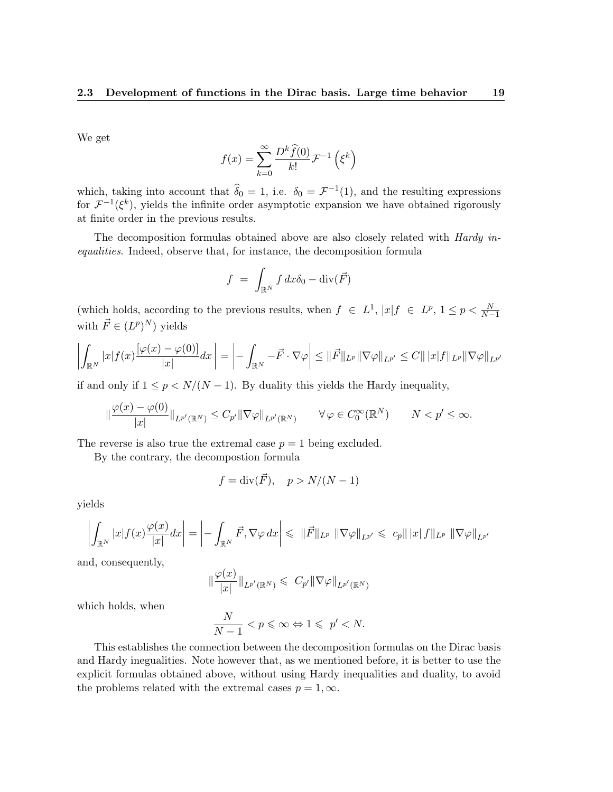We get

$$
f(x) = \sum_{k=0}^{\infty} \frac{D^k \hat{f}(0)}{k!} \mathcal{F}^{-1}\left(\xi^k\right)
$$

which, taking into account that  $\hat{\delta}_0 = 1$ , i.e.  $\delta_0 = \mathcal{F}^{-1}(1)$ , and the resulting expressions for  $\mathcal{F}^{-1}(\xi^k)$ , yields the infinite order asymptotic expansion we have obtained rigorously at finite order in the previous results.

The decomposition formulas obtained above are also closely related with Hardy inequalities. Indeed, observe that, for instance, the decomposition formula

$$
f = \int_{\mathbb{R}^N} f \, dx \delta_0 - \text{div}(\vec{F})
$$

(which holds, according to the previous results, when  $f \in L^1$ ,  $|x|f \in L^p$ ,  $1 \le p < \frac{N}{N-1}$ with  $\vec{F} \in (L^p)^N$  yields

$$
\left| \int_{\mathbb{R}^N} |x| f(x) \frac{\left[ \varphi(x) - \varphi(0) \right]}{|x|} dx \right| = \left| - \int_{\mathbb{R}^N} -\vec{F} \cdot \nabla \varphi \right| \leq \|\vec{F}\|_{L^p} \|\nabla \varphi\|_{L^{p'}} \leq C \|\, |x| f \|_{L^p} \|\nabla \varphi\|_{L^{p'}}
$$

if and only if  $1 \leq p \leq N/(N-1)$ . By duality this yields the Hardy inequality,

$$
\|\frac{\varphi(x)-\varphi(0)}{|x|}\|_{L^{p'}(\mathbb{R}^N)} \leq C_{p'}\|\nabla\varphi\|_{L^{p'}(\mathbb{R}^N)} \qquad \forall \varphi \in C_0^{\infty}(\mathbb{R}^N) \qquad N < p' \leq \infty.
$$

The reverse is also true the extremal case  $p = 1$  being excluded.

By the contrary, the decompostion formula

$$
f = \operatorname{div}(\vec{F}), \quad p > N/(N-1)
$$

yields

$$
\left| \int_{\mathbb{R}^N} |x| f(x) \frac{\varphi(x)}{|x|} dx \right| = \left| - \int_{\mathbb{R}^N} \vec{F}, \nabla \varphi dx \right| \leq \left\| \vec{F} \right\|_{L^p} \left\| \nabla \varphi \right\|_{L^{p'}} \leqslant c_p \|\left| x \right| f \|\left|_{L^p} \left\| \nabla \varphi \right\|_{L^{p'}}
$$

and, consequently,

$$
\|\frac{\varphi(x)}{|x|}\|_{L^{p'}(\mathbb{R}^N)} \leqslant C_{p'}\|\nabla\varphi\|_{L^{p'}(\mathbb{R}^N)}
$$

which holds, when

$$
\frac{N}{N-1} < p \leqslant \infty \Leftrightarrow 1 \leqslant p' < N.
$$

This establishes the connection between the decomposition formulas on the Dirac basis and Hardy inegualities. Note however that, as we mentioned before, it is better to use the explicit formulas obtained above, without using Hardy inequalities and duality, to avoid the problems related with the extremal cases  $p = 1, \infty$ .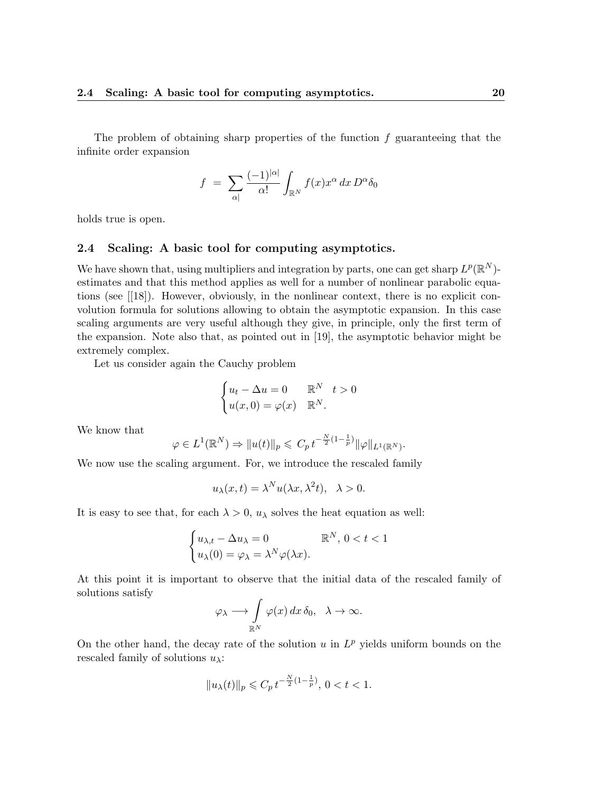The problem of obtaining sharp properties of the function  $f$  guaranteeing that the infinite order expansion

$$
f = \sum_{\alpha|} \frac{(-1)^{|\alpha|}}{\alpha!} \int_{\mathbb{R}^N} f(x) x^{\alpha} dx D^{\alpha} \delta_0
$$

holds true is open.

#### 2.4 Scaling: A basic tool for computing asymptotics.

We have shown that, using multipliers and integration by parts, one can get sharp  $L^p(\mathbb{R}^N)$ estimates and that this method applies as well for a number of nonlinear parabolic equations (see [[18]). However, obviously, in the nonlinear context, there is no explicit convolution formula for solutions allowing to obtain the asymptotic expansion. In this case scaling arguments are very useful although they give, in principle, only the first term of the expansion. Note also that, as pointed out in [19], the asymptotic behavior might be extremely complex.

Let us consider again the Cauchy problem

$$
\begin{cases} u_t - \Delta u = 0 & \mathbb{R}^N \quad t > 0 \\ u(x, 0) = \varphi(x) & \mathbb{R}^N. \end{cases}
$$

We know that

$$
\varphi \in L^{1}(\mathbb{R}^{N}) \Rightarrow \|u(t)\|_{p} \leqslant C_{p} t^{-\frac{N}{2}(1-\frac{1}{p})} \|\varphi\|_{L^{1}(\mathbb{R}^{N})}.
$$

We now use the scaling argument. For, we introduce the rescaled family

$$
u_{\lambda}(x,t) = \lambda^N u(\lambda x, \lambda^2 t), \quad \lambda > 0.
$$

It is easy to see that, for each  $\lambda > 0$ ,  $u_{\lambda}$  solves the heat equation as well:

$$
\begin{cases} u_{\lambda,t} - \Delta u_{\lambda} = 0 & \mathbb{R}^N, \ 0 < t < 1 \\ u_{\lambda}(0) = \varphi_{\lambda} = \lambda^N \varphi(\lambda x). \end{cases}
$$

At this point it is important to observe that the initial data of the rescaled family of solutions satisfy

$$
\varphi_{\lambda} \longrightarrow \int_{\mathbb{R}^N} \varphi(x) \, dx \, \delta_0, \quad \lambda \to \infty.
$$

On the other hand, the decay rate of the solution  $u$  in  $L^p$  yields uniform bounds on the rescaled family of solutions  $u_{\lambda}$ :

$$
\|u_\lambda(t)\|_p\leqslant C_p\,t^{-\frac{N}{2}(1-\frac{1}{p})},\,0
$$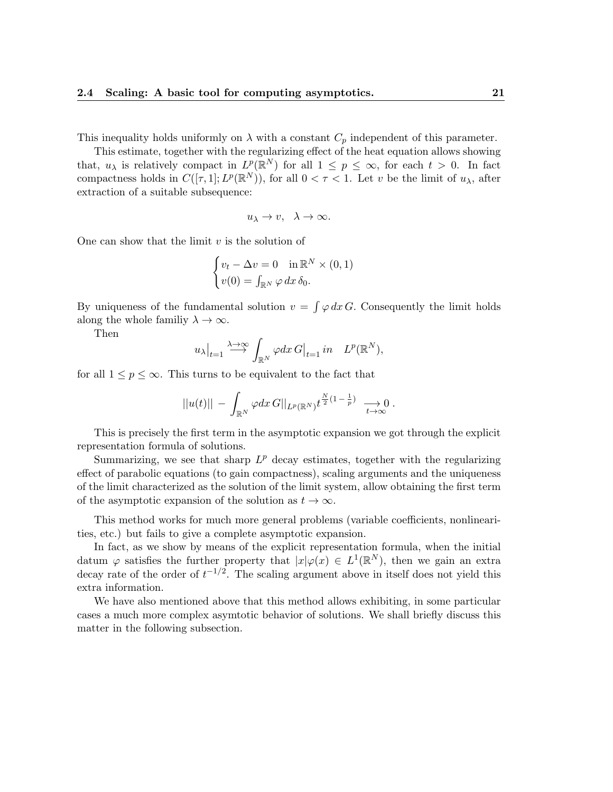This inequality holds uniformly on  $\lambda$  with a constant  $C_p$  independent of this parameter.

This estimate, together with the regularizing effect of the heat equation allows showing that,  $u_{\lambda}$  is relatively compact in  $L^p(\mathbb{R}^N)$  for all  $1 \leq p \leq \infty$ , for each  $t > 0$ . In fact compactness holds in  $C([\tau, 1]; L^p(\mathbb{R}^N))$ , for all  $0 < \tau < 1$ . Let v be the limit of  $u_\lambda$ , after extraction of a suitable subsequence:

$$
u_\lambda\to v,\ \ \lambda\to\infty.
$$

One can show that the limit  $v$  is the solution of

$$
\begin{cases} v_t - \Delta v = 0 & \text{in } \mathbb{R}^N \times (0, 1) \\ v(0) = \int_{\mathbb{R}^N} \varphi \, dx \, \delta_0. \end{cases}
$$

By uniqueness of the fundamental solution  $v = \int \varphi \, dx \, G$ . Consequently the limit holds along the whole familiy  $\lambda \to \infty$ .

Then

$$
u_{\lambda}|_{t=1} \stackrel{\lambda \to \infty}{\longrightarrow} \int_{\mathbb{R}^N} \varphi dx \, G|_{t=1} \, in \quad L^p(\mathbb{R}^N),
$$

for all  $1 \leq p \leq \infty$ . This turns to be equivalent to the fact that

$$
||u(t)|| - \int_{\mathbb{R}^N} \varphi dx \, G||_{L^p(\mathbb{R}^N)} t^{\frac{N}{2}(1-\frac{1}{p})} \longrightarrow 0.
$$

This is precisely the first term in the asymptotic expansion we got through the explicit representation formula of solutions.

Summarizing, we see that sharp  $L^p$  decay estimates, together with the regularizing effect of parabolic equations (to gain compactness), scaling arguments and the uniqueness of the limit characterized as the solution of the limit system, allow obtaining the first term of the asymptotic expansion of the solution as  $t \to \infty$ .

This method works for much more general problems (variable coefficients, nonlinearities, etc.) but fails to give a complete asymptotic expansion.

In fact, as we show by means of the explicit representation formula, when the initial datum  $\varphi$  satisfies the further property that  $|x|\varphi(x) \in L^1(\mathbb{R}^N)$ , then we gain an extra decay rate of the order of  $t^{-1/2}$ . The scaling argument above in itself does not yield this extra information.

We have also mentioned above that this method allows exhibiting, in some particular cases a much more complex asymtotic behavior of solutions. We shall briefly discuss this matter in the following subsection.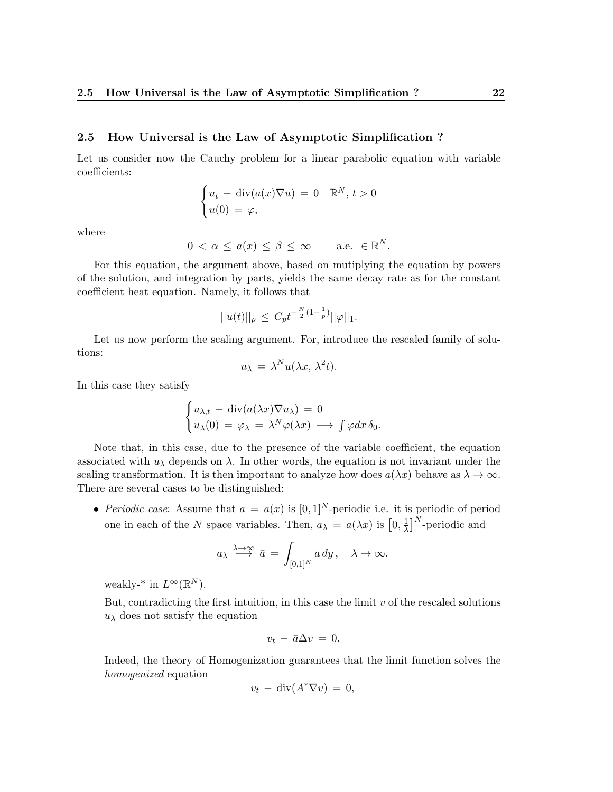#### 2.5 How Universal is the Law of Asymptotic Simplification ?

Let us consider now the Cauchy problem for a linear parabolic equation with variable coefficients:

$$
\begin{cases} u_t - \operatorname{div}(a(x)\nabla u) = 0 & \mathbb{R}^N, t > 0 \\ u(0) = \varphi, \end{cases}
$$

where

$$
0 < \alpha \le a(x) \le \beta \le \infty \quad \text{a.e. } \in \mathbb{R}^N.
$$

For this equation, the argument above, based on mutiplying the equation by powers of the solution, and integration by parts, yields the same decay rate as for the constant coefficient heat equation. Namely, it follows that

$$
||u(t)||_p \leq C_p t^{-\frac{N}{2}(1-\frac{1}{p})} ||\varphi||_1.
$$

Let us now perform the scaling argument. For, introduce the rescaled family of solutions:

$$
u_{\lambda} = \lambda^N u(\lambda x, \lambda^2 t).
$$

In this case they satisfy

$$
\begin{cases} u_{\lambda,t} - \operatorname{div}(a(\lambda x) \nabla u_{\lambda}) = 0 \\ u_{\lambda}(0) = \varphi_{\lambda} = \lambda^N \varphi(\lambda x) \longrightarrow \int \varphi dx \, \delta_0. \end{cases}
$$

Note that, in this case, due to the presence of the variable coefficient, the equation associated with  $u_{\lambda}$  depends on  $\lambda$ . In other words, the equation is not invariant under the scaling transformation. It is then important to analyze how does  $a(\lambda x)$  behave as  $\lambda \to \infty$ . There are several cases to be distinguished:

• Periodic case: Assume that  $a = a(x)$  is  $[0, 1]^N$ -periodic i.e. it is periodic of period one in each of the N space variables. Then,  $a_{\lambda} = a(\lambda x)$  is  $[0, \frac{1}{\lambda}]$  $\frac{1}{\lambda}$ ]<sup>N</sup>-periodic and

$$
a_{\lambda} \stackrel{\lambda \to \infty}{\longrightarrow} \bar{a} = \int_{[0,1]^N} a \, dy \, , \quad \lambda \to \infty.
$$

weakly-<sup>\*</sup> in  $L^{\infty}(\mathbb{R}^N)$ .

But, contradicting the first intuition, in this case the limit  $v$  of the rescaled solutions  $u_{\lambda}$  does not satisfy the equation

$$
v_t - \bar{a}\Delta v = 0.
$$

Indeed, the theory of Homogenization guarantees that the limit function solves the homogenized equation

$$
v_t - \operatorname{div}(A^*\nabla v) = 0,
$$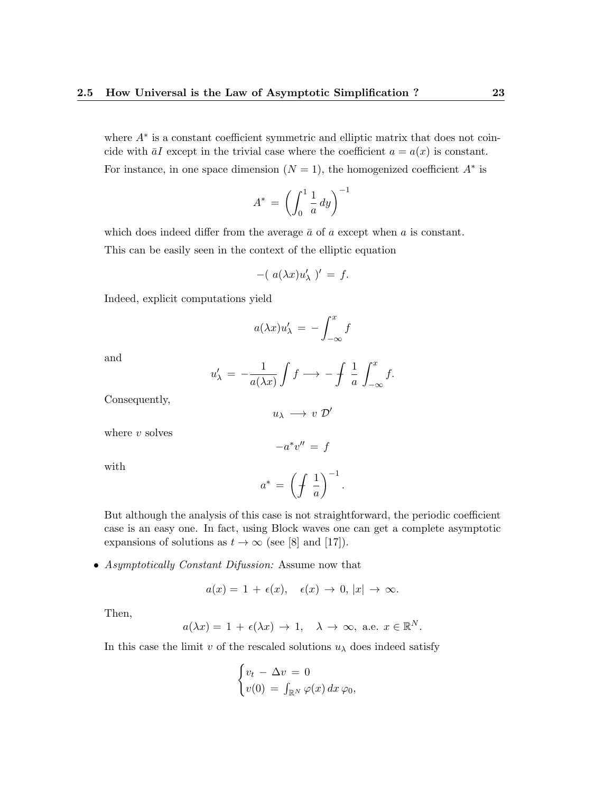where  $A^*$  is a constant coefficient symmetric and elliptic matrix that does not coincide with  $\bar{a}I$  except in the trivial case where the coefficient  $a = a(x)$  is constant. For instance, in one space dimension  $(N = 1)$ , the homogenized coefficient  $A^*$  is

$$
A^* = \left(\int_0^1 \frac{1}{a} \, dy\right)^{-1}
$$

which does indeed differ from the average  $\bar{a}$  of a except when a is constant. This can be easily seen in the context of the elliptic equation

$$
-(a(\lambda x)u'_{\lambda})' = f.
$$

Indeed, explicit computations yield

$$
a(\lambda x)u'_{\lambda} = -\int_{-\infty}^{x} f
$$

and

$$
u'_{\lambda} = -\frac{1}{a(\lambda x)} \int f \longrightarrow -\int \frac{1}{a} \int_{-\infty}^{x} f.
$$

Consequently,

$$
u_\lambda\,\longrightarrow\,v\,\,\mathcal{D}'
$$

 $-a^*v'' = f$ 

where  $v$  solves

with

$$
a^* \,=\, \left(\displaystyle\int \,\frac{1}{a}\right)^{-1}
$$

.

But although the analysis of this case is not straightforward, the periodic coefficient case is an easy one. In fact, using Block waves one can get a complete asymptotic expansions of solutions as  $t \to \infty$  (see [8] and [17]).

• Asymptotically Constant Difussion: Assume now that

$$
a(x) = 1 + \epsilon(x), \quad \epsilon(x) \to 0, |x| \to \infty.
$$

Then,

$$
a(\lambda x) = 1 + \epsilon(\lambda x) \to 1, \quad \lambda \to \infty, \text{ a.e. } x \in \mathbb{R}^N.
$$

In this case the limit v of the rescaled solutions  $u_{\lambda}$  does indeed satisfy

$$
\begin{cases} v_t - \Delta v = 0 \\ v(0) = \int_{\mathbb{R}^N} \varphi(x) \, dx \, \varphi_0, \end{cases}
$$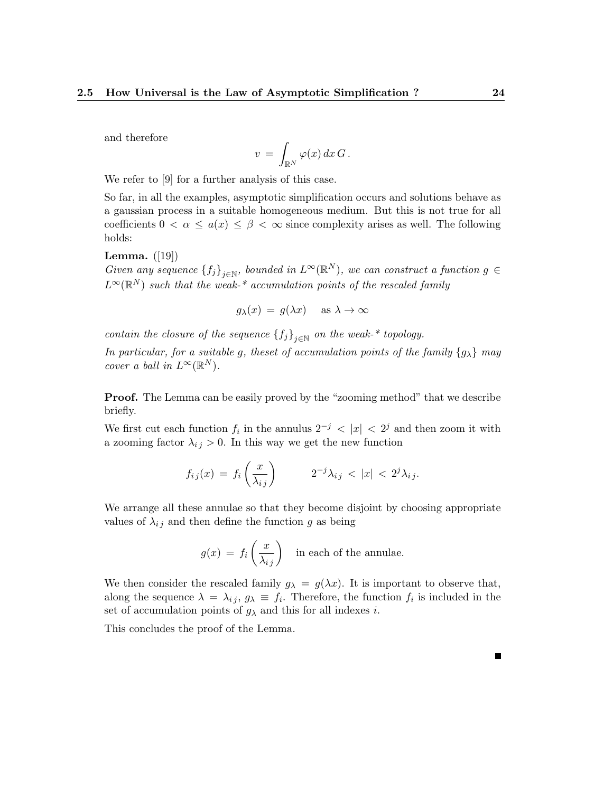and therefore

$$
v\,=\,\int_{\mathbb{R}^N}\varphi(x)\,dx\,G\,.
$$

We refer to [9] for a further analysis of this case.

So far, in all the examples, asymptotic simplification occurs and solutions behave as a gaussian process in a suitable homogeneous medium. But this is not true for all coefficients  $0 < \alpha \leq a(x) \leq \beta < \infty$  since complexity arises as well. The following holds:

**Lemma.**  $([19])$ 

Given any sequence  ${f_j}_{j\in\mathbb{N}}$ , bounded in  $L^{\infty}(\mathbb{R}^N)$ , we can construct a function  $g \in$  $L^{\infty}(\mathbb{R}^N)$  such that the weak-\* accumulation points of the rescaled family

 $g_{\lambda}(x) = g(\lambda x)$  as  $\lambda \to \infty$ 

contain the closure of the sequence  ${f_j}_{j\in\mathbb{N}}$  on the weak-\* topology.

In particular, for a suitable g, theset of accumulation points of the family  $\{g_{\lambda}\}\$  may cover a ball in  $L^{\infty}(\mathbb{R}^N)$ .

**Proof.** The Lemma can be easily proved by the "zooming method" that we describe briefly.

We first cut each function  $f_i$  in the annulus  $2^{-j}$  <  $|x|$  <  $2^j$  and then zoom it with a zooming factor  $\lambda_{ij} > 0$ . In this way we get the new function

$$
f_{ij}(x) = f_i\left(\frac{x}{\lambda_{ij}}\right) \qquad 2^{-j}\lambda_{ij} < |x| < 2^j\lambda_{ij}.
$$

We arrange all these annulae so that they become disjoint by choosing appropriate values of  $\lambda_{ij}$  and then define the function g as being

$$
g(x) = f_i\left(\frac{x}{\lambda_{ij}}\right)
$$
 in each of the annulae.

We then consider the rescaled family  $g_{\lambda} = g(\lambda x)$ . It is important to observe that, along the sequence  $\lambda = \lambda_{ij}, g_\lambda \equiv f_i$ . Therefore, the function  $f_i$  is included in the set of accumulation points of  $g_{\lambda}$  and this for all indexes i.

This concludes the proof of the Lemma.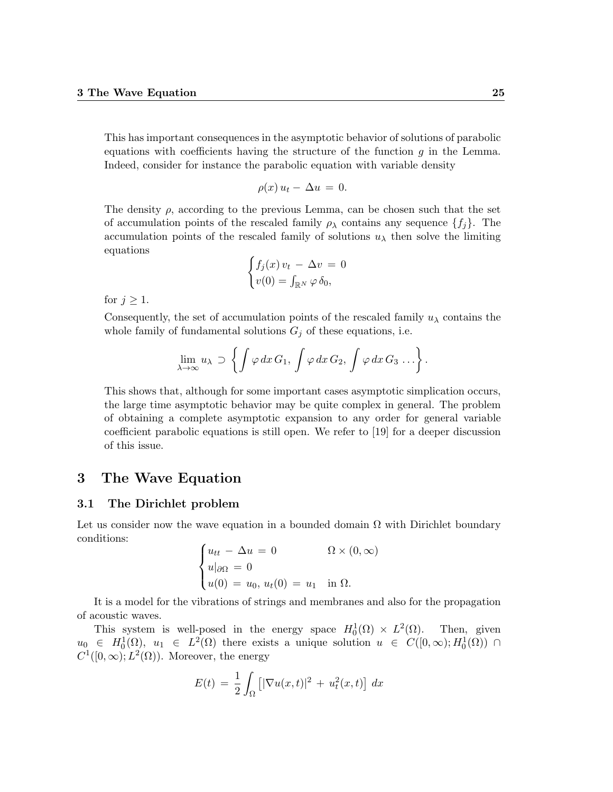This has important consequences in the asymptotic behavior of solutions of parabolic equations with coefficients having the structure of the function  $q$  in the Lemma. Indeed, consider for instance the parabolic equation with variable density

$$
\rho(x)u_t - \Delta u = 0.
$$

The density  $\rho$ , according to the previous Lemma, can be chosen such that the set of accumulation points of the rescaled family  $\rho_{\lambda}$  contains any sequence  $\{f_i\}$ . The accumulation points of the rescaled family of solutions  $u_{\lambda}$  then solve the limiting equations

$$
\begin{cases} f_j(x) v_t - \Delta v = 0 \\ v(0) = \int_{\mathbb{R}^N} \varphi \, \delta_0, \end{cases}
$$

for  $j \geq 1$ .

Consequently, the set of accumulation points of the rescaled family  $u_\lambda$  contains the whole family of fundamental solutions  $G_j$  of these equations, i.e.

$$
\lim_{\lambda \to \infty} u_{\lambda} \supset \left\{ \int \varphi \, dx \, G_1, \, \int \varphi \, dx \, G_2, \, \int \varphi \, dx \, G_3 \, \ldots \right\}.
$$

This shows that, although for some important cases asymptotic simplication occurs, the large time asymptotic behavior may be quite complex in general. The problem of obtaining a complete asymptotic expansion to any order for general variable coefficient parabolic equations is still open. We refer to [19] for a deeper discussion of this issue.

## 3 The Wave Equation

#### 3.1 The Dirichlet problem

Let us consider now the wave equation in a bounded domain  $\Omega$  with Dirichlet boundary conditions:

$$
\begin{cases} u_{tt} - \Delta u = 0 & \Omega \times (0, \infty) \\ u|_{\partial \Omega} = 0 \\ u(0) = u_0, u_t(0) = u_1 \text{ in } \Omega. \end{cases}
$$

It is a model for the vibrations of strings and membranes and also for the propagation of acoustic waves.

This system is well-posed in the energy space  $H_0^1(\Omega) \times L^2(\Omega)$ . Then, given  $u_0 \in H_0^1(\Omega)$ ,  $u_1 \in L^2(\Omega)$  there exists a unique solution  $u \in C([0,\infty);H_0^1(\Omega))$   $\cap$  $C^1([0,\infty); L^2(\Omega))$ . Moreover, the energy

$$
E(t) = \frac{1}{2} \int_{\Omega} \left[ |\nabla u(x, t)|^2 + u_t^2(x, t) \right] dx
$$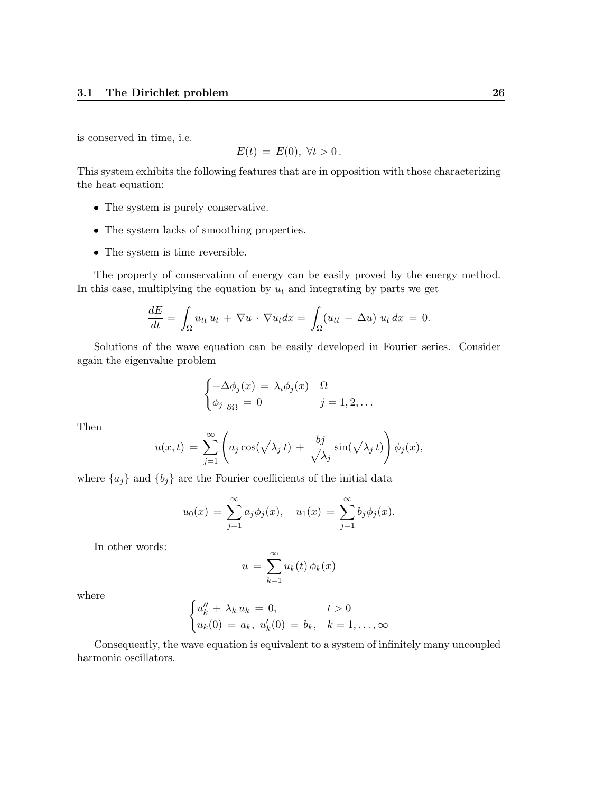is conserved in time, i.e.

$$
E(t) = E(0), \forall t > 0.
$$

This system exhibits the following features that are in opposition with those characterizing the heat equation:

- The system is purely conservative.
- The system lacks of smoothing properties.
- The system is time reversible.

The property of conservation of energy can be easily proved by the energy method. In this case, multiplying the equation by  $u_t$  and integrating by parts we get

$$
\frac{dE}{dt} = \int_{\Omega} u_{tt} u_t + \nabla u \cdot \nabla u_t dx = \int_{\Omega} (u_{tt} - \Delta u) u_t dx = 0.
$$

Solutions of the wave equation can be easily developed in Fourier series. Consider again the eigenvalue problem

$$
\begin{cases}\n-\Delta \phi_j(x) = \lambda_i \phi_j(x) & \Omega \\
\phi_j\big|_{\partial\Omega} = 0 & j = 1, 2, \dots\n\end{cases}
$$

Then

$$
u(x,t) = \sum_{j=1}^{\infty} \left( a_j \cos(\sqrt{\lambda_j} t) + \frac{bj}{\sqrt{\lambda_j}} \sin(\sqrt{\lambda_j} t) \right) \phi_j(x),
$$

where  ${a_j}$  and  ${b_j}$  are the Fourier coefficients of the initial data

$$
u_0(x) = \sum_{j=1}^{\infty} a_j \phi_j(x), \quad u_1(x) = \sum_{j=1}^{\infty} b_j \phi_j(x).
$$

In other words:

$$
u = \sum_{k=1}^{\infty} u_k(t) \phi_k(x)
$$

where

$$
\begin{cases} u''_k + \lambda_k u_k = 0, & t > 0\\ u_k(0) = a_k, u'_k(0) = b_k, & k = 1, ..., \infty \end{cases}
$$

Consequently, the wave equation is equivalent to a system of infinitely many uncoupled harmonic oscillators.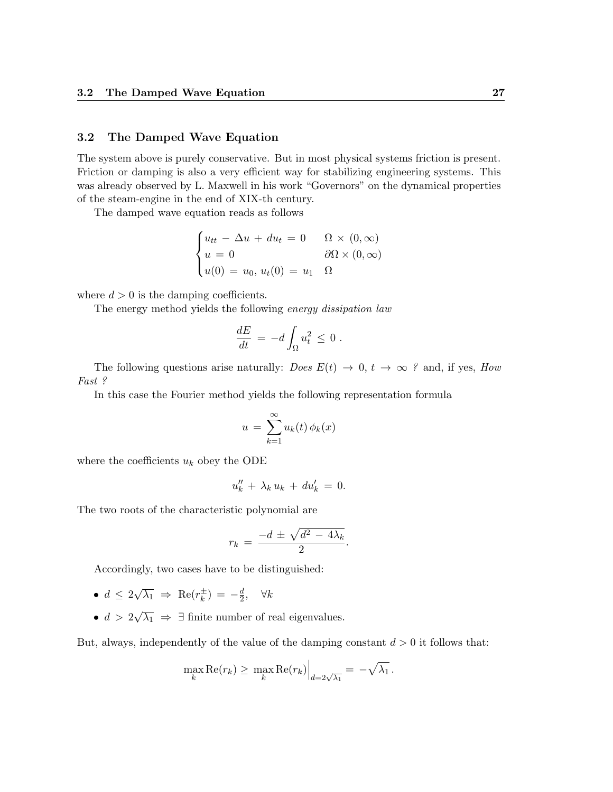#### 3.2 The Damped Wave Equation

The system above is purely conservative. But in most physical systems friction is present. Friction or damping is also a very efficient way for stabilizing engineering systems. This was already observed by L. Maxwell in his work "Governors" on the dynamical properties of the steam-engine in the end of XIX-th century.

The damped wave equation reads as follows

$$
\begin{cases}\nu_{tt} - \Delta u + du_t = 0 & \Omega \times (0, \infty) \\
u = 0 & \partial \Omega \times (0, \infty) \\
u(0) = u_0, u_t(0) = u_1 & \Omega\n\end{cases}
$$

where  $d > 0$  is the damping coefficients.

The energy method yields the following energy dissipation law

$$
\frac{dE}{dt} = -d \int_{\Omega} u_t^2 \leq 0.
$$

The following questions arise naturally: *Does*  $E(t) \rightarrow 0, t \rightarrow \infty$  ? and, if yes, *How* Fast ?

In this case the Fourier method yields the following representation formula

$$
u = \sum_{k=1}^{\infty} u_k(t) \phi_k(x)
$$

where the coefficients  $u_k$  obey the ODE

$$
u_k'' + \lambda_k u_k + du'_k = 0.
$$

The two roots of the characteristic polynomial are

$$
r_k = \frac{-d \pm \sqrt{d^2 - 4\lambda_k}}{2}.
$$

Accordingly, two cases have to be distinguished:

- $\bullet\,d\,\leq\,2$ √  $\overline{\lambda_1}$   $\Rightarrow$  Re( $r_k^{\pm}$  $(\frac{1}{k}) = -\frac{d}{2}$  $\frac{d}{2}$ ,  $\forall k$
- $\bullet\,d\,>\,2$ √  $\overline{\lambda_1} \Rightarrow \exists$  finite number of real eigenvalues.

But, always, independently of the value of the damping constant  $d > 0$  it follows that:

$$
\max_{k} \text{Re}(r_k) \geq \max_{k} \text{Re}(r_k) \Big|_{d=2\sqrt{\lambda_1}} = -\sqrt{\lambda_1}.
$$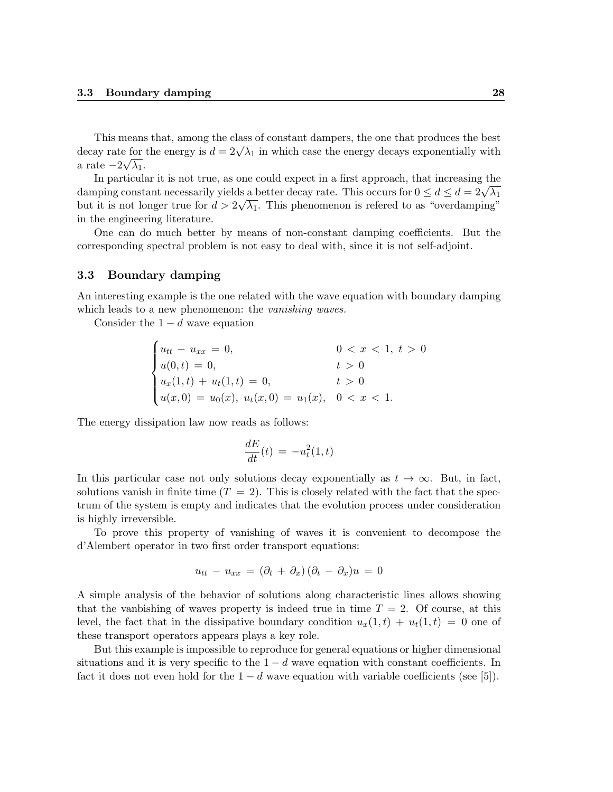This means that, among the class of constant dampers, the one that produces the best This means that, among the class of constant dampers, the one that produces the best<br>decay rate for the energy is  $d = 2\sqrt{\lambda_1}$  in which case the energy decays exponentially with a rate  $-2\sqrt{\lambda_1}$ .

In particular it is not true, as one could expect in a first approach, that increasing the In particular it is not true, as one could expect in a first approach, that increasing the<br>damping constant necessarily yields a better decay rate. This occurs for  $0 \le d \le d = 2\sqrt{\lambda_1}$ but it is not longer true for  $d > 2\sqrt{\lambda_1}$ . This phenomenon is referred to as "overdamping" in the engineering literature.

One can do much better by means of non-constant damping coefficients. But the corresponding spectral problem is not easy to deal with, since it is not self-adjoint.

#### 3.3 Boundary damping

An interesting example is the one related with the wave equation with boundary damping which leads to a new phenomenon: the *vanishing waves*.

Consider the  $1 - d$  wave equation

$$
\begin{cases}\nu_{tt} - u_{xx} = 0, & 0 < x < 1, t > 0 \\
u(0, t) = 0, & t > 0 \\
u_x(1, t) + u_t(1, t) = 0, & t > 0 \\
u(x, 0) = u_0(x), u_t(x, 0) = u_1(x), & 0 < x < 1.\n\end{cases}
$$

The energy dissipation law now reads as follows:

$$
\frac{dE}{dt}(t) = -u_t^2(1,t)
$$

In this particular case not only solutions decay exponentially as  $t \to \infty$ . But, in fact, solutions vanish in finite time  $(T = 2)$ . This is closely related with the fact that the spectrum of the system is empty and indicates that the evolution process under consideration is highly irreversible.

To prove this property of vanishing of waves it is convenient to decompose the d'Alembert operator in two first order transport equations:

$$
u_{tt} - u_{xx} = (\partial_t + \partial_x)(\partial_t - \partial_x)u = 0
$$

A simple analysis of the behavior of solutions along characteristic lines allows showing that the vanbishing of waves property is indeed true in time  $T = 2$ . Of course, at this level, the fact that in the dissipative boundary condition  $u_x(1,t) + u_t(1,t) = 0$  one of these transport operators appears plays a key role.

But this example is impossible to reproduce for general equations or higher dimensional situations and it is very specific to the  $1 - d$  wave equation with constant coefficients. In fact it does not even hold for the  $1 - d$  wave equation with variable coefficients (see [5]).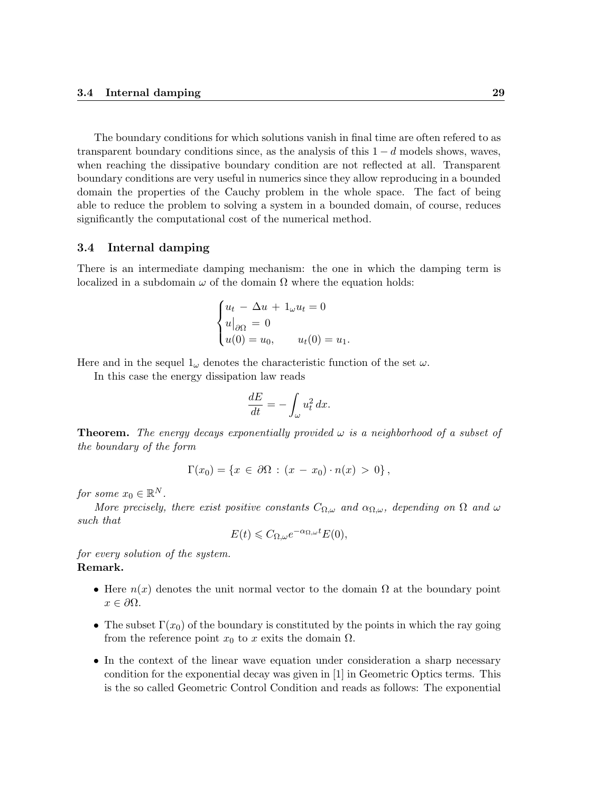The boundary conditions for which solutions vanish in final time are often refered to as transparent boundary conditions since, as the analysis of this  $1 - d$  models shows, waves, when reaching the dissipative boundary condition are not reflected at all. Transparent boundary conditions are very useful in numerics since they allow reproducing in a bounded domain the properties of the Cauchy problem in the whole space. The fact of being able to reduce the problem to solving a system in a bounded domain, of course, reduces significantly the computational cost of the numerical method.

#### 3.4 Internal damping

There is an intermediate damping mechanism: the one in which the damping term is localized in a subdomain  $\omega$  of the domain  $\Omega$  where the equation holds:

$$
\begin{cases} u_t - \Delta u + 1_{\omega} u_t = 0 \\ u|_{\partial \Omega} = 0 \\ u(0) = u_0, \qquad u_t(0) = u_1. \end{cases}
$$

Here and in the sequel  $1_{\omega}$  denotes the characteristic function of the set  $\omega$ .

In this case the energy dissipation law reads

$$
\frac{dE}{dt} = -\int_{\omega} u_t^2 dx.
$$

**Theorem.** The energy decays exponentially provided  $\omega$  is a neighborhood of a subset of the boundary of the form

$$
\Gamma(x_0) = \{x \in \partial\Omega : (x - x_0) \cdot n(x) > 0\},\
$$

for some  $x_0 \in \mathbb{R}^N$ .

More precisely, there exist positive constants  $C_{\Omega,\omega}$  and  $\alpha_{\Omega,\omega}$ , depending on  $\Omega$  and  $\omega$ such that

$$
E(t) \leqslant C_{\Omega,\omega} e^{-\alpha_{\Omega,\omega}t} E(0),
$$

for every solution of the system. Remark.

- Here  $n(x)$  denotes the unit normal vector to the domain  $\Omega$  at the boundary point  $x \in \partial \Omega$ .
- The subset  $\Gamma(x_0)$  of the boundary is constituted by the points in which the ray going from the reference point  $x_0$  to x exits the domain  $\Omega$ .
- In the context of the linear wave equation under consideration a sharp necessary condition for the exponential decay was given in [1] in Geometric Optics terms. This is the so called Geometric Control Condition and reads as follows: The exponential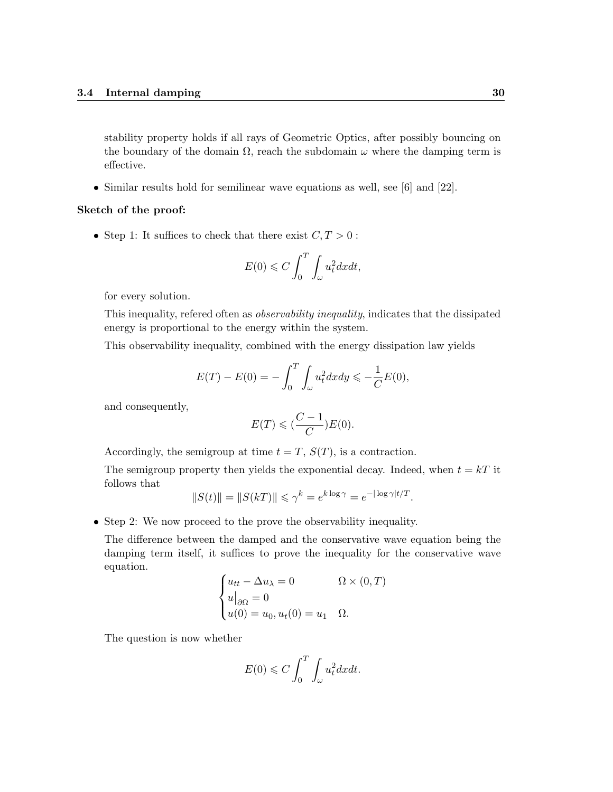stability property holds if all rays of Geometric Optics, after possibly bouncing on the boundary of the domain  $\Omega$ , reach the subdomain  $\omega$  where the damping term is effective.

• Similar results hold for semilinear wave equations as well, see [6] and [22].

#### Sketch of the proof:

• Step 1: It suffices to check that there exist  $C, T > 0$ :

$$
E(0) \leqslant C \int_0^T \int_{\omega} u_t^2 dx dt,
$$

for every solution.

This inequality, refered often as observability inequality, indicates that the dissipated energy is proportional to the energy within the system.

This observability inequality, combined with the energy dissipation law yields

$$
E(T) - E(0) = -\int_0^T \int_{\omega} u_t^2 dx dy \le -\frac{1}{C}E(0),
$$

and consequently,

$$
E(T) \leqslant (\frac{C-1}{C})E(0).
$$

Accordingly, the semigroup at time  $t = T$ ,  $S(T)$ , is a contraction.

The semigroup property then yields the exponential decay. Indeed, when  $t = kT$  it follows that

$$
||S(t)|| = ||S(kT)|| \le \gamma^k = e^{k \log \gamma} = e^{-|\log \gamma|t/T}.
$$

• Step 2: We now proceed to the prove the observability inequality.

The difference between the damped and the conservative wave equation being the damping term itself, it suffices to prove the inequality for the conservative wave equation.

$$
\begin{cases} u_{tt} - \Delta u_{\lambda} = 0 & \Omega \times (0, T) \\ u|_{\partial \Omega} = 0 & u(0) = u_0, u_t(0) = u_1 & \Omega. \end{cases}
$$

The question is now whether

$$
E(0) \leqslant C \int_0^T \int_{\omega} u_t^2 dx dt.
$$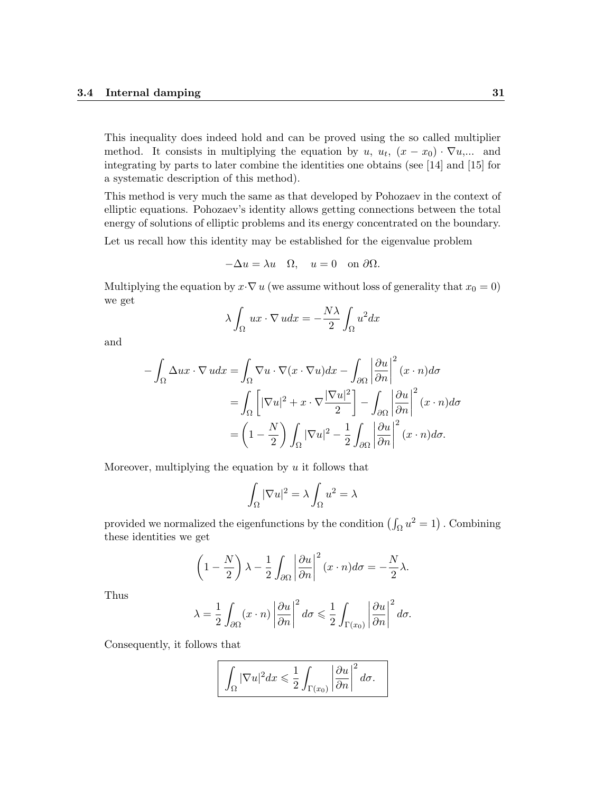This inequality does indeed hold and can be proved using the so called multiplier method. It consists in multiplying the equation by u,  $u_t$ ,  $(x - x_0) \cdot \nabla u$ ,... and integrating by parts to later combine the identities one obtains (see [14] and [15] for a systematic description of this method).

This method is very much the same as that developed by Pohozaev in the context of elliptic equations. Pohozaev's identity allows getting connections between the total energy of solutions of elliptic problems and its energy concentrated on the boundary.

Let us recall how this identity may be established for the eigenvalue problem

$$
-\Delta u = \lambda u \quad \Omega, \quad u = 0 \quad \text{on } \partial \Omega.
$$

Multiplying the equation by  $x \cdot \nabla u$  (we assume without loss of generality that  $x_0 = 0$ ) we get

$$
\lambda \int_{\Omega} ux \cdot \nabla u dx = -\frac{N\lambda}{2} \int_{\Omega} u^2 dx
$$

and

$$
-\int_{\Omega} \Delta ux \cdot \nabla u dx = \int_{\Omega} \nabla u \cdot \nabla (x \cdot \nabla u) dx - \int_{\partial \Omega} \left| \frac{\partial u}{\partial n} \right|^2 (x \cdot n) d\sigma
$$

$$
= \int_{\Omega} \left[ |\nabla u|^2 + x \cdot \nabla \frac{|\nabla u|^2}{2} \right] - \int_{\partial \Omega} \left| \frac{\partial u}{\partial n} \right|^2 (x \cdot n) d\sigma
$$

$$
= \left( 1 - \frac{N}{2} \right) \int_{\Omega} |\nabla u|^2 - \frac{1}{2} \int_{\partial \Omega} \left| \frac{\partial u}{\partial n} \right|^2 (x \cdot n) d\sigma.
$$

Moreover, multiplying the equation by  $u$  it follows that

$$
\int_{\Omega} |\nabla u|^2 = \lambda \int_{\Omega} u^2 = \lambda
$$

provided we normalized the eigenfunctions by the condition  $(\int_{\Omega} u^2 = 1)$ . Combining these identities we get

$$
\left(1 - \frac{N}{2}\right)\lambda - \frac{1}{2}\int_{\partial\Omega} \left|\frac{\partial u}{\partial n}\right|^2 (x \cdot n) d\sigma = -\frac{N}{2}\lambda.
$$

Thus

$$
\lambda = \frac{1}{2} \int_{\partial \Omega} (x \cdot n) \left| \frac{\partial u}{\partial n} \right|^2 d\sigma \leq \frac{1}{2} \int_{\Gamma(x_0)} \left| \frac{\partial u}{\partial n} \right|^2 d\sigma.
$$

Consequently, it follows that

$$
\int_{\Omega} |\nabla u|^2 dx \leq \frac{1}{2} \int_{\Gamma(x_0)} \left| \frac{\partial u}{\partial n} \right|^2 d\sigma.
$$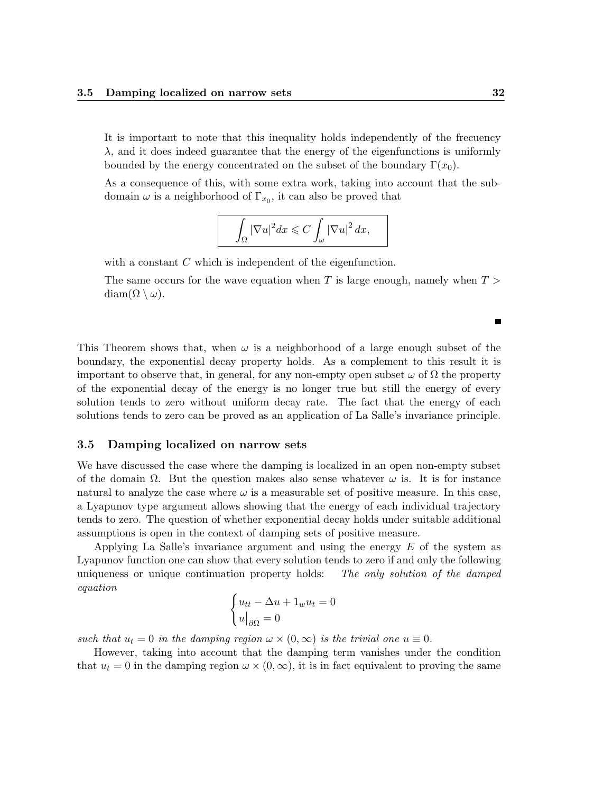It is important to note that this inequality holds independently of the frecuency  $\lambda$ , and it does indeed guarantee that the energy of the eigenfunctions is uniformly bounded by the energy concentrated on the subset of the boundary  $\Gamma(x_0)$ .

As a consequence of this, with some extra work, taking into account that the subdomain  $\omega$  is a neighborhood of  $\Gamma_{x_0}$ , it can also be proved that

$$
\int_{\Omega} |\nabla u|^2 dx \leqslant C \int_{\omega} |\nabla u|^2 dx,
$$

with a constant C which is independent of the eigenfunction.

The same occurs for the wave equation when  $T$  is large enough, namely when  $T >$  $diam(\Omega \setminus \omega)$ .

This Theorem shows that, when  $\omega$  is a neighborhood of a large enough subset of the boundary, the exponential decay property holds. As a complement to this result it is important to observe that, in general, for any non-empty open subset  $\omega$  of  $\Omega$  the property of the exponential decay of the energy is no longer true but still the energy of every solution tends to zero without uniform decay rate. The fact that the energy of each solutions tends to zero can be proved as an application of La Salle's invariance principle.

#### 3.5 Damping localized on narrow sets

We have discussed the case where the damping is localized in an open non-empty subset of the domain  $\Omega$ . But the question makes also sense whatever  $\omega$  is. It is for instance natural to analyze the case where  $\omega$  is a measurable set of positive measure. In this case, a Lyapunov type argument allows showing that the energy of each individual trajectory tends to zero. The question of whether exponential decay holds under suitable additional assumptions is open in the context of damping sets of positive measure.

Applying La Salle's invariance argument and using the energy  $E$  of the system as Lyapunov function one can show that every solution tends to zero if and only the following uniqueness or unique continuation property holds: The only solution of the damped equation

$$
\begin{cases} u_{tt} - \Delta u + 1_w u_t = 0 \\ u|_{\partial \Omega} = 0 \end{cases}
$$

such that  $u_t = 0$  in the damping region  $\omega \times (0, \infty)$  is the trivial one  $u \equiv 0$ .

However, taking into account that the damping term vanishes under the condition that  $u_t = 0$  in the damping region  $\omega \times (0, \infty)$ , it is in fact equivalent to proving the same

 $\blacksquare$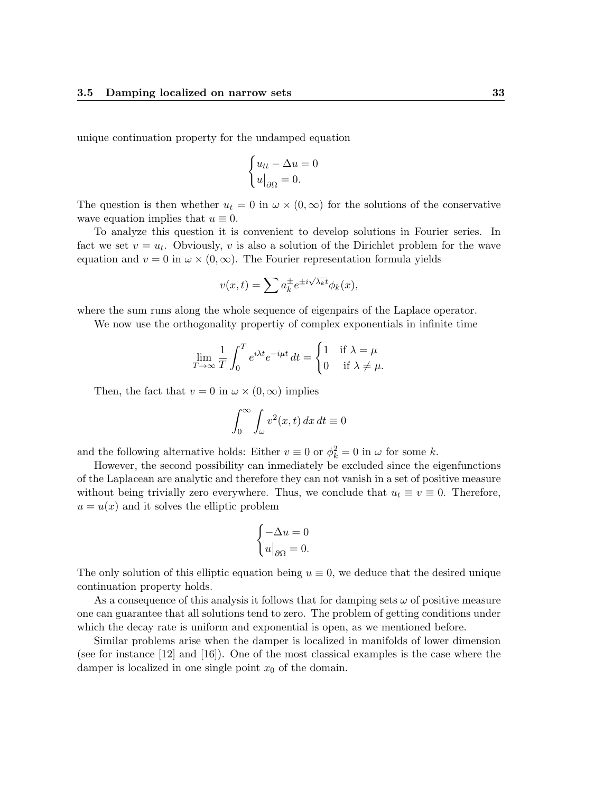unique continuation property for the undamped equation

$$
\begin{cases} u_{tt} - \Delta u = 0 \\ u|_{\partial \Omega} = 0. \end{cases}
$$

The question is then whether  $u_t = 0$  in  $\omega \times (0, \infty)$  for the solutions of the conservative wave equation implies that  $u \equiv 0$ .

To analyze this question it is convenient to develop solutions in Fourier series. In fact we set  $v = u_t$ . Obviously, v is also a solution of the Dirichlet problem for the wave equation and  $v = 0$  in  $\omega \times (0, \infty)$ . The Fourier representation formula yields

$$
v(x,t) = \sum a_k^{\pm} e^{\pm i\sqrt{\lambda_k t}} \phi_k(x),
$$

where the sum runs along the whole sequence of eigenpairs of the Laplace operator.

We now use the orthogonality propertiy of complex exponentials in infinite time

$$
\lim_{T \to \infty} \frac{1}{T} \int_0^T e^{i\lambda t} e^{-i\mu t} dt = \begin{cases} 1 & \text{if } \lambda = \mu \\ 0 & \text{if } \lambda \neq \mu. \end{cases}
$$

Then, the fact that  $v = 0$  in  $\omega \times (0, \infty)$  implies

$$
\int_0^\infty \int_\omega v^2(x,t) \, dx \, dt \equiv 0
$$

and the following alternative holds: Either  $v \equiv 0$  or  $\phi_k^2 = 0$  in  $\omega$  for some k.

However, the second possibility can inmediately be excluded since the eigenfunctions of the Laplacean are analytic and therefore they can not vanish in a set of positive measure without being trivially zero everywhere. Thus, we conclude that  $u_t \equiv v \equiv 0$ . Therefore,  $u = u(x)$  and it solves the elliptic problem

$$
\begin{cases}\n-\Delta u = 0 \\
u|_{\partial\Omega} = 0.\n\end{cases}
$$

The only solution of this elliptic equation being  $u \equiv 0$ , we deduce that the desired unique continuation property holds.

As a consequence of this analysis it follows that for damping sets  $\omega$  of positive measure one can guarantee that all solutions tend to zero. The problem of getting conditions under which the decay rate is uniform and exponential is open, as we mentioned before.

Similar problems arise when the damper is localized in manifolds of lower dimension (see for instance [12] and [16]). One of the most classical examples is the case where the damper is localized in one single point  $x_0$  of the domain.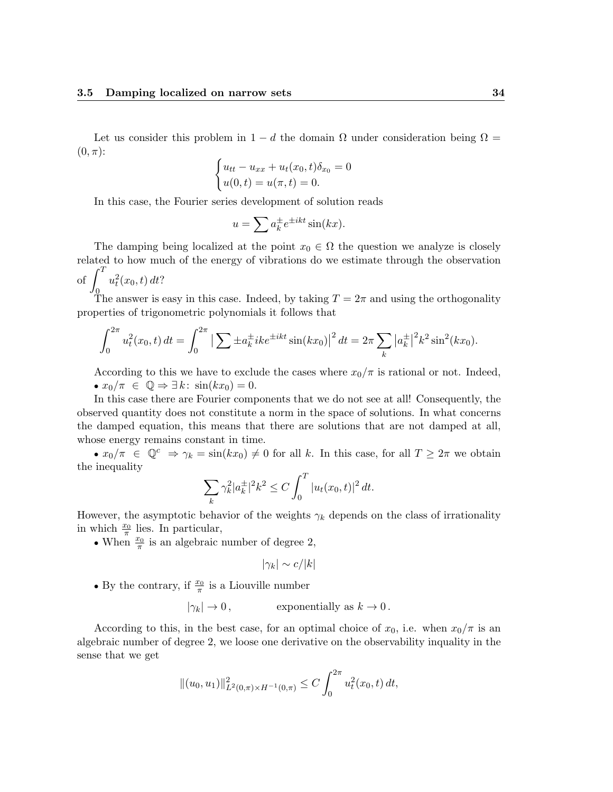Let us consider this problem in  $1 - d$  the domain  $\Omega$  under consideration being  $\Omega =$  $(0, \pi)$ :

$$
\begin{cases} u_{tt} - u_{xx} + u_t(x_0, t)\delta_{x_0} = 0 \\ u(0, t) = u(\pi, t) = 0. \end{cases}
$$

In this case, the Fourier series development of solution reads

$$
u = \sum a_k^{\pm} e^{\pm ikt} \sin(kx).
$$

The damping being localized at the point  $x_0 \in \Omega$  the question we analyze is closely related to how much of the energy of vibrations do we estimate through the observation of  $\int_{}^{T} u_t^2(x_0, t) dt$ ?

The answer is easy in this case. Indeed, by taking  $T = 2\pi$  and using the orthogonality properties of trigonometric polynomials it follows that

$$
\int_0^{2\pi} u_t^2(x_0, t) dt = \int_0^{2\pi} \left| \sum \pm a_k^{\pm} i k e^{\pm ikt} \sin(kx_0) \right|^2 dt = 2\pi \sum_k |a_k^{\pm}|^2 k^2 \sin^2(kx_0).
$$

According to this we have to exclude the cases where  $x_0/\pi$  is rational or not. Indeed, •  $x_0/\pi \in \mathbb{Q} \Rightarrow \exists k : \sin(kx_0) = 0.$ 

In this case there are Fourier components that we do not see at all! Consequently, the observed quantity does not constitute a norm in the space of solutions. In what concerns the damped equation, this means that there are solutions that are not damped at all, whose energy remains constant in time.

•  $x_0/\pi \in \mathbb{Q}^c \Rightarrow \gamma_k = \sin(kx_0) \neq 0$  for all k. In this case, for all  $T \geq 2\pi$  we obtain the inequality

$$
\sum_{k} \gamma_k^2 |a_k^{\pm}|^2 k^2 \le C \int_0^T |u_t(x_0, t)|^2 dt.
$$

However, the asymptotic behavior of the weights  $\gamma_k$  depends on the class of irrationality in which  $\frac{x_0}{\pi}$  lies. In particular,

• When  $\frac{x_0}{\pi}$  is an algebraic number of degree 2,

$$
|\gamma_k| \sim c/|k|
$$

• By the contrary, if  $\frac{x_0}{\pi}$  is a Liouville number

$$
|\gamma_k| \to 0
$$
, exponentially as  $k \to 0$ .

According to this, in the best case, for an optimal choice of  $x_0$ , i.e. when  $x_0/\pi$  is an algebraic number of degree 2, we loose one derivative on the observability inquality in the sense that we get

$$
||(u_0, u_1)||_{L^2(0,\pi) \times H^{-1}(0,\pi)}^2 \le C \int_0^{2\pi} u_t^2(x_0, t) dt,
$$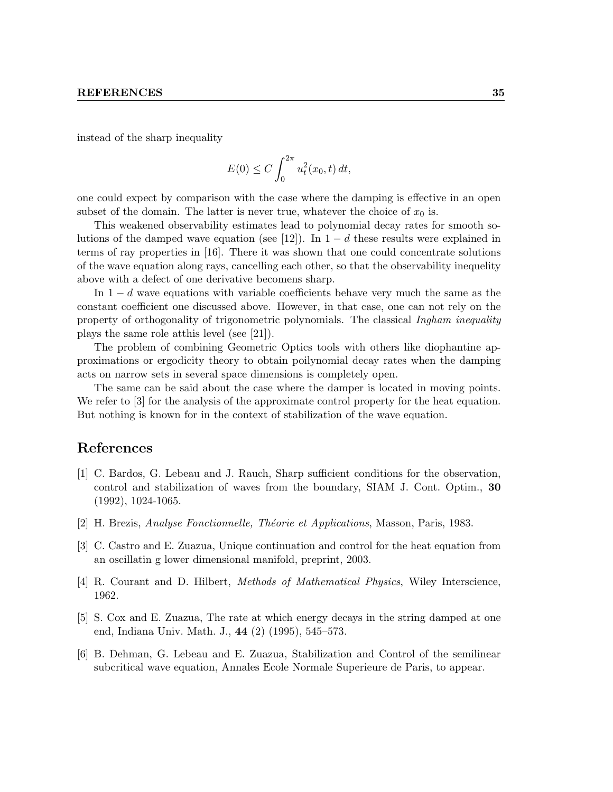instead of the sharp inequality

$$
E(0) \le C \int_0^{2\pi} u_t^2(x_0, t) dt,
$$

one could expect by comparison with the case where the damping is effective in an open subset of the domain. The latter is never true, whatever the choice of  $x_0$  is.

This weakened observability estimates lead to polynomial decay rates for smooth solutions of the damped wave equation (see [12]). In  $1 - d$  these results were explained in terms of ray properties in [16]. There it was shown that one could concentrate solutions of the wave equation along rays, cancelling each other, so that the observability inequelity above with a defect of one derivative becomens sharp.

In  $1 - d$  wave equations with variable coefficients behave very much the same as the constant coefficient one discussed above. However, in that case, one can not rely on the property of orthogonality of trigonometric polynomials. The classical Ingham inequality plays the same role atthis level (see [21]).

The problem of combining Geometric Optics tools with others like diophantine approximations or ergodicity theory to obtain poilynomial decay rates when the damping acts on narrow sets in several space dimensions is completely open.

The same can be said about the case where the damper is located in moving points. We refer to [3] for the analysis of the approximate control property for the heat equation. But nothing is known for in the context of stabilization of the wave equation.

## References

- [1] C. Bardos, G. Lebeau and J. Rauch, Sharp sufficient conditions for the observation, control and stabilization of waves from the boundary, SIAM J. Cont. Optim., 30 (1992), 1024-1065.
- [2] H. Brezis, Analyse Fonctionnelle, Théorie et Applications, Masson, Paris, 1983.
- [3] C. Castro and E. Zuazua, Unique continuation and control for the heat equation from an oscillatin g lower dimensional manifold, preprint, 2003.
- [4] R. Courant and D. Hilbert, Methods of Mathematical Physics, Wiley Interscience, 1962.
- [5] S. Cox and E. Zuazua, The rate at which energy decays in the string damped at one end, Indiana Univ. Math. J., 44 (2) (1995), 545–573.
- [6] B. Dehman, G. Lebeau and E. Zuazua, Stabilization and Control of the semilinear subcritical wave equation, Annales Ecole Normale Superieure de Paris, to appear.